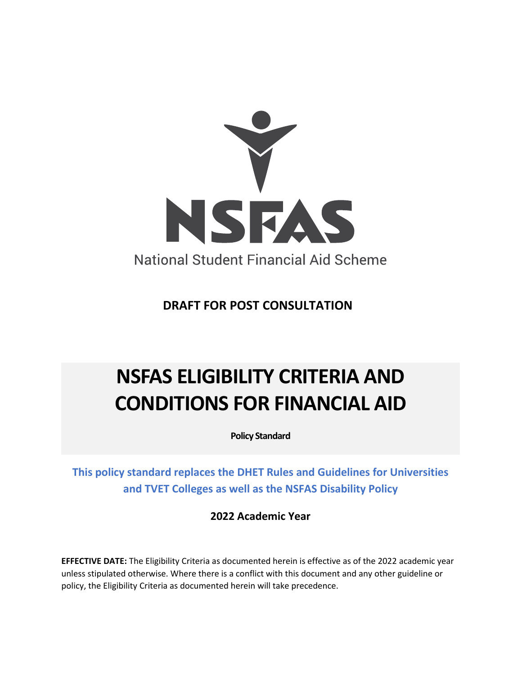

**DRAFT FOR POST CONSULTATION**

# **NSFAS ELIGIBILITY CRITERIA AND CONDITIONS FOR FINANCIAL AID**

**Policy Standard**

**This policy standard replaces the DHET Rules and Guidelines for Universities and TVET Colleges as well as the NSFAS Disability Policy**

**2022 Academic Year**

**EFFECTIVE DATE:** The Eligibility Criteria as documented herein is effective as of the 2022 academic year unless stipulated otherwise. Where there is a conflict with this document and any other guideline or policy, the Eligibility Criteria as documented herein will take precedence.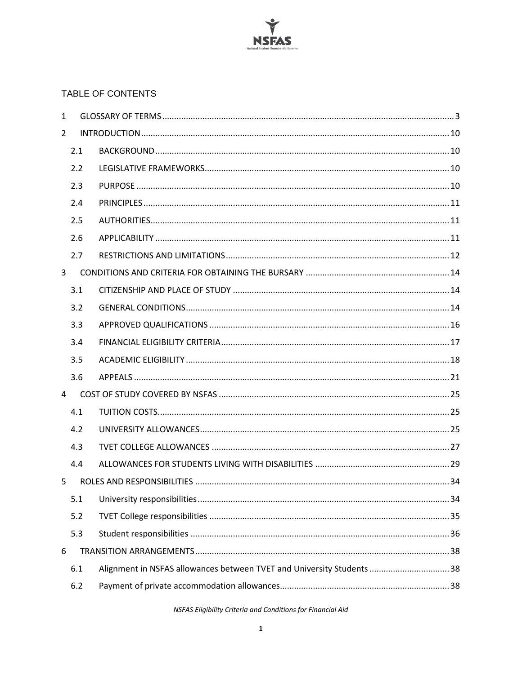

#### TABLE OF CONTENTS

| $\mathbf{1}$   |     |                                                                        |
|----------------|-----|------------------------------------------------------------------------|
| $\overline{2}$ |     |                                                                        |
|                | 2.1 |                                                                        |
|                | 2.2 |                                                                        |
|                | 2.3 |                                                                        |
|                | 2.4 |                                                                        |
|                | 2.5 |                                                                        |
|                | 2.6 |                                                                        |
|                | 2.7 |                                                                        |
| $\overline{3}$ |     |                                                                        |
|                | 3.1 |                                                                        |
|                | 3.2 |                                                                        |
|                | 3.3 |                                                                        |
|                | 3.4 |                                                                        |
|                | 3.5 |                                                                        |
|                | 3.6 |                                                                        |
| $\overline{4}$ |     |                                                                        |
|                | 4.1 |                                                                        |
|                | 4.2 |                                                                        |
|                | 4.3 |                                                                        |
|                | 4.4 |                                                                        |
| 5              |     |                                                                        |
|                | 5.1 |                                                                        |
|                | 5.2 |                                                                        |
|                | 5.3 |                                                                        |
| 6              |     |                                                                        |
|                | 6.1 | Alignment in NSFAS allowances between TVET and University Students  38 |
|                | 6.2 |                                                                        |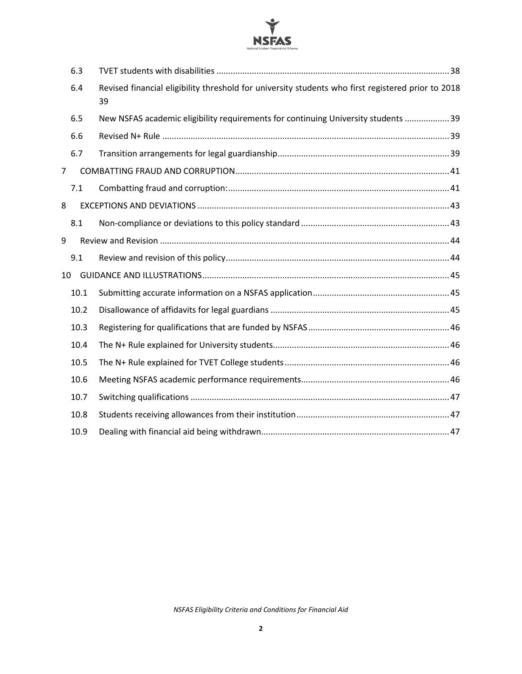

| 6.3  |                                                                                                          |  |
|------|----------------------------------------------------------------------------------------------------------|--|
| 6.4  | Revised financial eligibility threshold for university students who first registered prior to 2018<br>39 |  |
|      | New NSFAS academic eligibility requirements for continuing University students  39                       |  |
|      |                                                                                                          |  |
| 6.7  |                                                                                                          |  |
|      |                                                                                                          |  |
| 7.1  |                                                                                                          |  |
|      |                                                                                                          |  |
|      |                                                                                                          |  |
|      |                                                                                                          |  |
|      |                                                                                                          |  |
|      |                                                                                                          |  |
| 10.1 |                                                                                                          |  |
| 10.2 |                                                                                                          |  |
| 10.3 |                                                                                                          |  |
| 10.4 |                                                                                                          |  |
| 10.5 |                                                                                                          |  |
| 10.6 |                                                                                                          |  |
| 10.7 |                                                                                                          |  |
| 10.8 |                                                                                                          |  |
| 10.9 |                                                                                                          |  |
|      | 6.5<br>6.6<br>8.1<br>9.1<br>10                                                                           |  |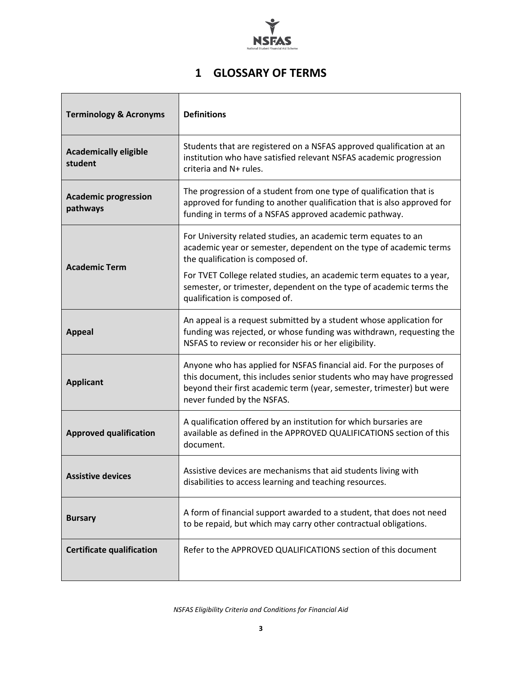

# **1 GLOSSARY OF TERMS**

<span id="page-3-0"></span>

| <b>Terminology &amp; Acronyms</b>       | <b>Definitions</b>                                                                                                                                                                                                                                 |  |  |  |
|-----------------------------------------|----------------------------------------------------------------------------------------------------------------------------------------------------------------------------------------------------------------------------------------------------|--|--|--|
| <b>Academically eligible</b><br>student | Students that are registered on a NSFAS approved qualification at an<br>institution who have satisfied relevant NSFAS academic progression<br>criteria and N+ rules.                                                                               |  |  |  |
| <b>Academic progression</b><br>pathways | The progression of a student from one type of qualification that is<br>approved for funding to another qualification that is also approved for<br>funding in terms of a NSFAS approved academic pathway.                                           |  |  |  |
| <b>Academic Term</b>                    | For University related studies, an academic term equates to an<br>academic year or semester, dependent on the type of academic terms<br>the qualification is composed of.<br>For TVET College related studies, an academic term equates to a year, |  |  |  |
|                                         | semester, or trimester, dependent on the type of academic terms the<br>qualification is composed of.                                                                                                                                               |  |  |  |
| <b>Appeal</b>                           | An appeal is a request submitted by a student whose application for<br>funding was rejected, or whose funding was withdrawn, requesting the<br>NSFAS to review or reconsider his or her eligibility.                                               |  |  |  |
| <b>Applicant</b>                        | Anyone who has applied for NSFAS financial aid. For the purposes of<br>this document, this includes senior students who may have progressed<br>beyond their first academic term (year, semester, trimester) but were<br>never funded by the NSFAS. |  |  |  |
| <b>Approved qualification</b>           | A qualification offered by an institution for which bursaries are<br>available as defined in the APPROVED QUALIFICATIONS section of this<br>document.                                                                                              |  |  |  |
| <b>Assistive devices</b>                | Assistive devices are mechanisms that aid students living with<br>disabilities to access learning and teaching resources.                                                                                                                          |  |  |  |
| <b>Bursary</b>                          | A form of financial support awarded to a student, that does not need<br>to be repaid, but which may carry other contractual obligations.                                                                                                           |  |  |  |
| <b>Certificate qualification</b>        | Refer to the APPROVED QUALIFICATIONS section of this document                                                                                                                                                                                      |  |  |  |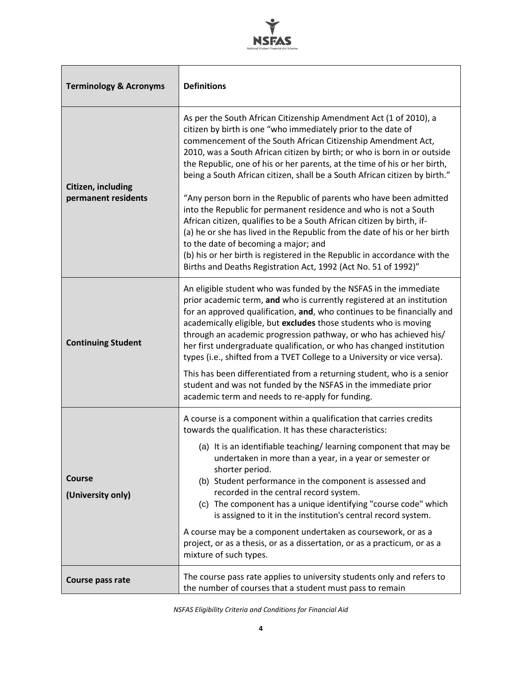

| <b>Terminology &amp; Acronyms</b>         | <b>Definitions</b>                                                                                                                                                                                                                                                                                                                                                                                                                                                                                                                                                                                                                                                                                                                                                                                                                                                                                                                |  |  |  |
|-------------------------------------------|-----------------------------------------------------------------------------------------------------------------------------------------------------------------------------------------------------------------------------------------------------------------------------------------------------------------------------------------------------------------------------------------------------------------------------------------------------------------------------------------------------------------------------------------------------------------------------------------------------------------------------------------------------------------------------------------------------------------------------------------------------------------------------------------------------------------------------------------------------------------------------------------------------------------------------------|--|--|--|
| Citizen, including<br>permanent residents | As per the South African Citizenship Amendment Act (1 of 2010), a<br>citizen by birth is one "who immediately prior to the date of<br>commencement of the South African Citizenship Amendment Act,<br>2010, was a South African citizen by birth; or who is born in or outside<br>the Republic, one of his or her parents, at the time of his or her birth,<br>being a South African citizen, shall be a South African citizen by birth."<br>"Any person born in the Republic of parents who have been admitted<br>into the Republic for permanent residence and who is not a South<br>African citizen, qualifies to be a South African citizen by birth, if-<br>(a) he or she has lived in the Republic from the date of his or her birth<br>to the date of becoming a major; and<br>(b) his or her birth is registered in the Republic in accordance with the<br>Births and Deaths Registration Act, 1992 (Act No. 51 of 1992)" |  |  |  |
| <b>Continuing Student</b>                 | An eligible student who was funded by the NSFAS in the immediate<br>prior academic term, and who is currently registered at an institution<br>for an approved qualification, and, who continues to be financially and<br>academically eligible, but excludes those students who is moving<br>through an academic progression pathway, or who has achieved his/<br>her first undergraduate qualification, or who has changed institution<br>types (i.e., shifted from a TVET College to a University or vice versa).<br>This has been differentiated from a returning student, who is a senior<br>student and was not funded by the NSFAS in the immediate prior<br>academic term and needs to re-apply for funding.                                                                                                                                                                                                               |  |  |  |
| <b>Course</b><br>(University only)        | A course is a component within a qualification that carries credits<br>towards the qualification. It has these characteristics:<br>(a) It is an identifiable teaching/learning component that may be<br>undertaken in more than a year, in a year or semester or<br>shorter period.<br>(b) Student performance in the component is assessed and<br>recorded in the central record system.<br>(c) The component has a unique identifying "course code" which<br>is assigned to it in the institution's central record system.<br>A course may be a component undertaken as coursework, or as a<br>project, or as a thesis, or as a dissertation, or as a practicum, or as a<br>mixture of such types.                                                                                                                                                                                                                              |  |  |  |
| Course pass rate                          | The course pass rate applies to university students only and refers to<br>the number of courses that a student must pass to remain                                                                                                                                                                                                                                                                                                                                                                                                                                                                                                                                                                                                                                                                                                                                                                                                |  |  |  |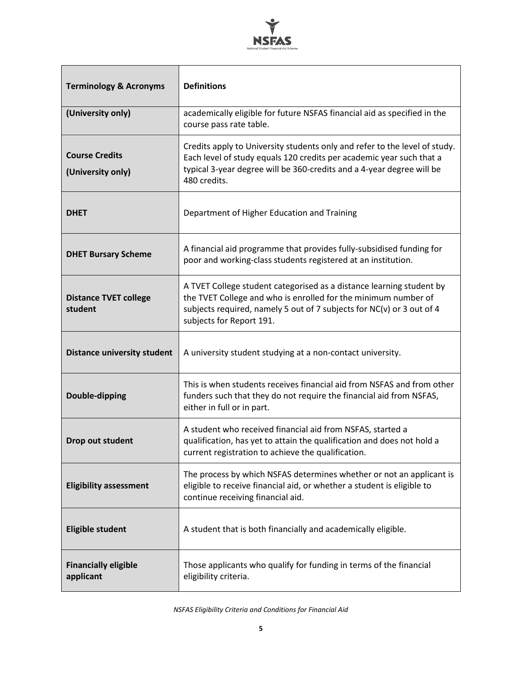

| <b>Terminology &amp; Acronyms</b>          | <b>Definitions</b>                                                                                                                                                                                                                          |  |  |  |
|--------------------------------------------|---------------------------------------------------------------------------------------------------------------------------------------------------------------------------------------------------------------------------------------------|--|--|--|
| (University only)                          | academically eligible for future NSFAS financial aid as specified in the<br>course pass rate table.                                                                                                                                         |  |  |  |
| <b>Course Credits</b><br>(University only) | Credits apply to University students only and refer to the level of study.<br>Each level of study equals 120 credits per academic year such that a<br>typical 3-year degree will be 360-credits and a 4-year degree will be<br>480 credits. |  |  |  |
| <b>DHET</b>                                | Department of Higher Education and Training                                                                                                                                                                                                 |  |  |  |
| <b>DHET Bursary Scheme</b>                 | A financial aid programme that provides fully-subsidised funding for<br>poor and working-class students registered at an institution.                                                                                                       |  |  |  |
| <b>Distance TVET college</b><br>student    | A TVET College student categorised as a distance learning student by<br>the TVET College and who is enrolled for the minimum number of<br>subjects required, namely 5 out of 7 subjects for NC(v) or 3 out of 4<br>subjects for Report 191. |  |  |  |
| <b>Distance university student</b>         | A university student studying at a non-contact university.                                                                                                                                                                                  |  |  |  |
| Double-dipping                             | This is when students receives financial aid from NSFAS and from other<br>funders such that they do not require the financial aid from NSFAS,<br>either in full or in part.                                                                 |  |  |  |
| Drop out student                           | A student who received financial aid from NSFAS, started a<br>qualification, has yet to attain the qualification and does not hold a<br>current registration to achieve the qualification.                                                  |  |  |  |
| <b>Eligibility assessment</b>              | The process by which NSFAS determines whether or not an applicant is<br>eligible to receive financial aid, or whether a student is eligible to<br>continue receiving financial aid.                                                         |  |  |  |
| <b>Eligible student</b>                    | A student that is both financially and academically eligible.                                                                                                                                                                               |  |  |  |
| <b>Financially eligible</b><br>applicant   | Those applicants who qualify for funding in terms of the financial<br>eligibility criteria.                                                                                                                                                 |  |  |  |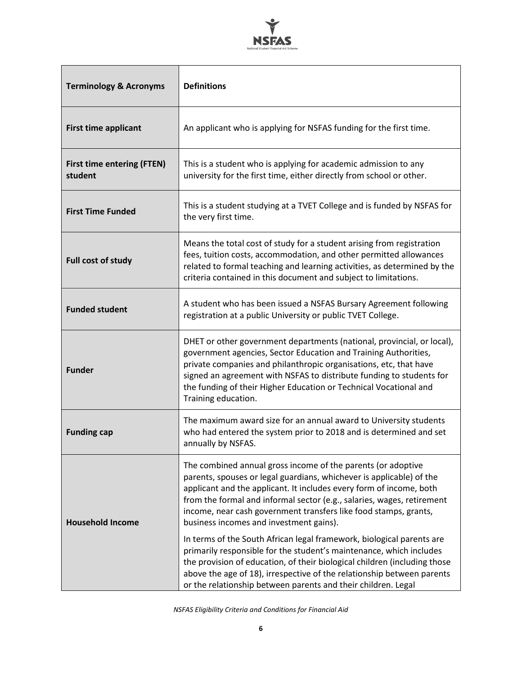

| <b>Terminology &amp; Acronyms</b>            | <b>Definitions</b>                                                                                                                                                                                                                                                                                                                                                                                                                                                            |  |  |  |
|----------------------------------------------|-------------------------------------------------------------------------------------------------------------------------------------------------------------------------------------------------------------------------------------------------------------------------------------------------------------------------------------------------------------------------------------------------------------------------------------------------------------------------------|--|--|--|
| <b>First time applicant</b>                  | An applicant who is applying for NSFAS funding for the first time.                                                                                                                                                                                                                                                                                                                                                                                                            |  |  |  |
| <b>First time entering (FTEN)</b><br>student | This is a student who is applying for academic admission to any<br>university for the first time, either directly from school or other.                                                                                                                                                                                                                                                                                                                                       |  |  |  |
| <b>First Time Funded</b>                     | This is a student studying at a TVET College and is funded by NSFAS for<br>the very first time.                                                                                                                                                                                                                                                                                                                                                                               |  |  |  |
| Full cost of study                           | Means the total cost of study for a student arising from registration<br>fees, tuition costs, accommodation, and other permitted allowances<br>related to formal teaching and learning activities, as determined by the<br>criteria contained in this document and subject to limitations.                                                                                                                                                                                    |  |  |  |
| <b>Funded student</b>                        | A student who has been issued a NSFAS Bursary Agreement following<br>registration at a public University or public TVET College.                                                                                                                                                                                                                                                                                                                                              |  |  |  |
| <b>Funder</b>                                | DHET or other government departments (national, provincial, or local),<br>government agencies, Sector Education and Training Authorities,<br>private companies and philanthropic organisations, etc, that have<br>signed an agreement with NSFAS to distribute funding to students for<br>the funding of their Higher Education or Technical Vocational and<br>Training education.                                                                                            |  |  |  |
| <b>Funding cap</b>                           | The maximum award size for an annual award to University students<br>who had entered the system prior to 2018 and is determined and set<br>annually by NSFAS.                                                                                                                                                                                                                                                                                                                 |  |  |  |
| <b>Household Income</b>                      | The combined annual gross income of the parents (or adoptive<br>parents, spouses or legal guardians, whichever is applicable) of the<br>applicant and the applicant. It includes every form of income, both<br>from the formal and informal sector (e.g., salaries, wages, retirement<br>income, near cash government transfers like food stamps, grants,<br>business incomes and investment gains).<br>In terms of the South African legal framework, biological parents are |  |  |  |
|                                              | primarily responsible for the student's maintenance, which includes<br>the provision of education, of their biological children (including those<br>above the age of 18), irrespective of the relationship between parents<br>or the relationship between parents and their children. Legal                                                                                                                                                                                   |  |  |  |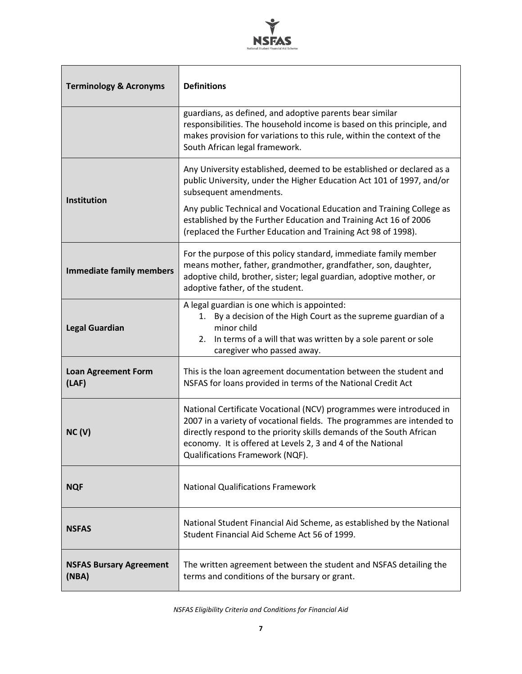

| <b>Terminology &amp; Acronyms</b>       | <b>Definitions</b>                                                                                                                                                                                                                                                                                                      |  |  |
|-----------------------------------------|-------------------------------------------------------------------------------------------------------------------------------------------------------------------------------------------------------------------------------------------------------------------------------------------------------------------------|--|--|
|                                         | guardians, as defined, and adoptive parents bear similar<br>responsibilities. The household income is based on this principle, and<br>makes provision for variations to this rule, within the context of the<br>South African legal framework.                                                                          |  |  |
| Institution                             | Any University established, deemed to be established or declared as a<br>public University, under the Higher Education Act 101 of 1997, and/or<br>subsequent amendments.<br>Any public Technical and Vocational Education and Training College as                                                                       |  |  |
|                                         | established by the Further Education and Training Act 16 of 2006<br>(replaced the Further Education and Training Act 98 of 1998).                                                                                                                                                                                       |  |  |
| <b>Immediate family members</b>         | For the purpose of this policy standard, immediate family member<br>means mother, father, grandmother, grandfather, son, daughter,<br>adoptive child, brother, sister; legal guardian, adoptive mother, or<br>adoptive father, of the student.                                                                          |  |  |
| <b>Legal Guardian</b>                   | A legal guardian is one which is appointed:<br>By a decision of the High Court as the supreme guardian of a<br>1.<br>minor child<br>In terms of a will that was written by a sole parent or sole<br>2.<br>caregiver who passed away.                                                                                    |  |  |
| <b>Loan Agreement Form</b><br>(LAF)     | This is the loan agreement documentation between the student and<br>NSFAS for loans provided in terms of the National Credit Act                                                                                                                                                                                        |  |  |
| NC(V)                                   | National Certificate Vocational (NCV) programmes were introduced in<br>2007 in a variety of vocational fields. The programmes are intended to<br>directly respond to the priority skills demands of the South African<br>economy. It is offered at Levels 2, 3 and 4 of the National<br>Qualifications Framework (NQF). |  |  |
| <b>NQF</b>                              | <b>National Qualifications Framework</b>                                                                                                                                                                                                                                                                                |  |  |
| <b>NSFAS</b>                            | National Student Financial Aid Scheme, as established by the National<br>Student Financial Aid Scheme Act 56 of 1999.                                                                                                                                                                                                   |  |  |
| <b>NSFAS Bursary Agreement</b><br>(NBA) | The written agreement between the student and NSFAS detailing the<br>terms and conditions of the bursary or grant.                                                                                                                                                                                                      |  |  |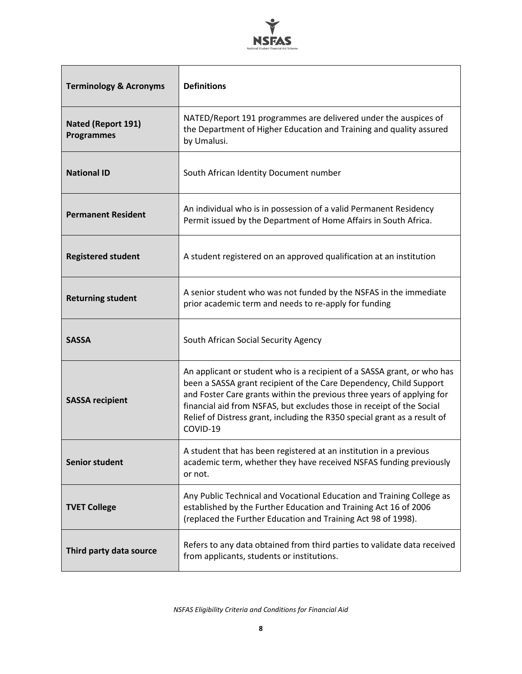

| <b>Terminology &amp; Acronyms</b>       | <b>Definitions</b>                                                                                                                                                                                                                                                                                                                                                                        |  |  |  |
|-----------------------------------------|-------------------------------------------------------------------------------------------------------------------------------------------------------------------------------------------------------------------------------------------------------------------------------------------------------------------------------------------------------------------------------------------|--|--|--|
| Nated (Report 191)<br><b>Programmes</b> | NATED/Report 191 programmes are delivered under the auspices of<br>the Department of Higher Education and Training and quality assured<br>by Umalusi.                                                                                                                                                                                                                                     |  |  |  |
| <b>National ID</b>                      | South African Identity Document number                                                                                                                                                                                                                                                                                                                                                    |  |  |  |
| <b>Permanent Resident</b>               | An individual who is in possession of a valid Permanent Residency<br>Permit issued by the Department of Home Affairs in South Africa.                                                                                                                                                                                                                                                     |  |  |  |
| <b>Registered student</b>               | A student registered on an approved qualification at an institution                                                                                                                                                                                                                                                                                                                       |  |  |  |
| <b>Returning student</b>                | A senior student who was not funded by the NSFAS in the immediate<br>prior academic term and needs to re-apply for funding                                                                                                                                                                                                                                                                |  |  |  |
| <b>SASSA</b>                            | South African Social Security Agency                                                                                                                                                                                                                                                                                                                                                      |  |  |  |
| <b>SASSA recipient</b>                  | An applicant or student who is a recipient of a SASSA grant, or who has<br>been a SASSA grant recipient of the Care Dependency, Child Support<br>and Foster Care grants within the previous three years of applying for<br>financial aid from NSFAS, but excludes those in receipt of the Social<br>Relief of Distress grant, including the R350 special grant as a result of<br>COVID-19 |  |  |  |
| <b>Senior student</b>                   | A student that has been registered at an institution in a previous<br>academic term, whether they have received NSFAS funding previously<br>or not.                                                                                                                                                                                                                                       |  |  |  |
| <b>TVET College</b>                     | Any Public Technical and Vocational Education and Training College as<br>established by the Further Education and Training Act 16 of 2006<br>(replaced the Further Education and Training Act 98 of 1998).                                                                                                                                                                                |  |  |  |
| Third party data source                 | Refers to any data obtained from third parties to validate data received<br>from applicants, students or institutions.                                                                                                                                                                                                                                                                    |  |  |  |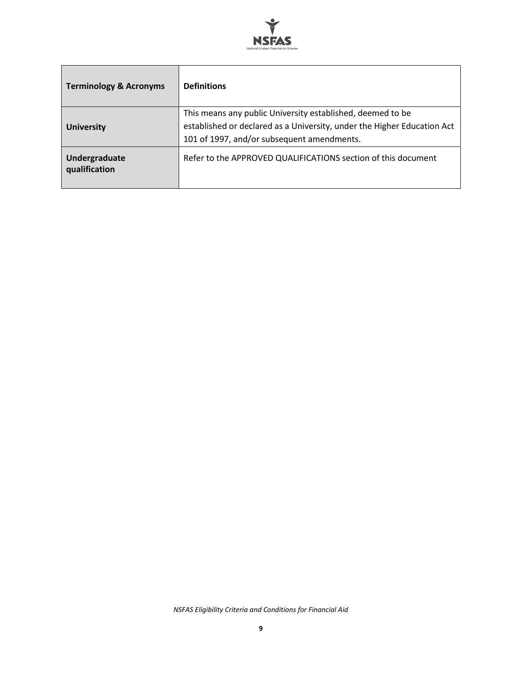

| <b>Terminology &amp; Acronyms</b> | <b>Definitions</b>                                                                                                                                                                  |
|-----------------------------------|-------------------------------------------------------------------------------------------------------------------------------------------------------------------------------------|
| <b>University</b>                 | This means any public University established, deemed to be<br>established or declared as a University, under the Higher Education Act<br>101 of 1997, and/or subsequent amendments. |
| Undergraduate<br>qualification    | Refer to the APPROVED QUALIFICATIONS section of this document                                                                                                                       |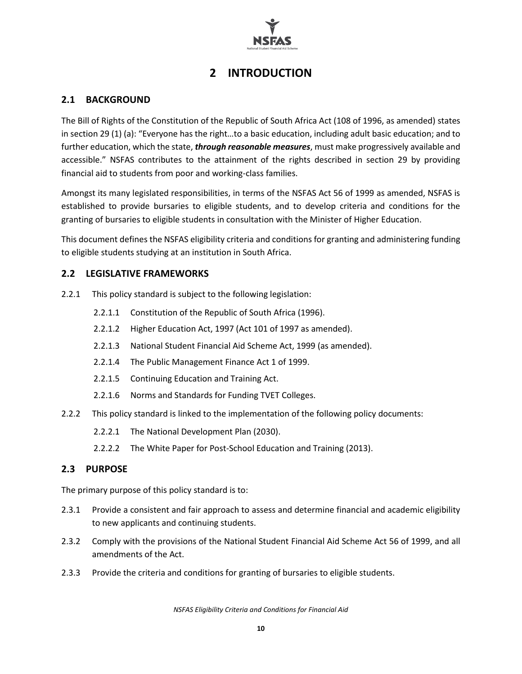

# **2 INTRODUCTION**

#### <span id="page-10-1"></span><span id="page-10-0"></span>**2.1 BACKGROUND**

The Bill of Rights of the Constitution of the Republic of South Africa Act (108 of 1996, as amended) states in section 29 (1) (a): "Everyone has the right…to a basic education, including adult basic education; and to further education, which the state, *through reasonable measures*, must make progressively available and accessible." NSFAS contributes to the attainment of the rights described in section 29 by providing financial aid to students from poor and working-class families.

Amongst its many legislated responsibilities, in terms of the NSFAS Act 56 of 1999 as amended, NSFAS is established to provide bursaries to eligible students, and to develop criteria and conditions for the granting of bursaries to eligible students in consultation with the Minister of Higher Education.

This document defines the NSFAS eligibility criteria and conditions for granting and administering funding to eligible students studying at an institution in South Africa.

#### <span id="page-10-2"></span>**2.2 LEGISLATIVE FRAMEWORKS**

- 2.2.1 This policy standard is subject to the following legislation:
	- 2.2.1.1 Constitution of the Republic of South Africa (1996).
	- 2.2.1.2 Higher Education Act, 1997 (Act 101 of 1997 as amended).
	- 2.2.1.3 National Student Financial Aid Scheme Act, 1999 (as amended).
	- 2.2.1.4 The Public Management Finance Act 1 of 1999.
	- 2.2.1.5 Continuing Education and Training Act.
	- 2.2.1.6 Norms and Standards for Funding TVET Colleges.
- 2.2.2 This policy standard is linked to the implementation of the following policy documents:
	- 2.2.2.1 The National Development Plan (2030).
	- 2.2.2.2 The White Paper for Post-School Education and Training (2013).

#### <span id="page-10-3"></span>**2.3 PURPOSE**

The primary purpose of this policy standard is to:

- 2.3.1 Provide a consistent and fair approach to assess and determine financial and academic eligibility to new applicants and continuing students.
- 2.3.2 Comply with the provisions of the National Student Financial Aid Scheme Act 56 of 1999, and all amendments of the Act.
- 2.3.3 Provide the criteria and conditions for granting of bursaries to eligible students.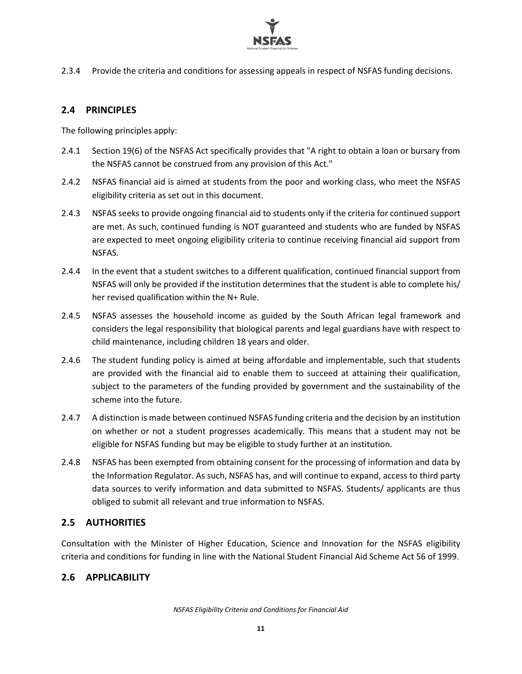

2.3.4 Provide the criteria and conditions for assessing appeals in respect of NSFAS funding decisions.

#### <span id="page-11-0"></span>**2.4 PRINCIPLES**

The following principles apply:

- 2.4.1 Section 19(6) of the NSFAS Act specifically provides that "A right to obtain a loan or bursary from the NSFAS cannot be construed from any provision of this Act."
- 2.4.2 NSFAS financial aid is aimed at students from the poor and working class, who meet the NSFAS eligibility criteria as set out in this document.
- 2.4.3 NSFAS seeks to provide ongoing financial aid to students only if the criteria for continued support are met. As such, continued funding is NOT guaranteed and students who are funded by NSFAS are expected to meet ongoing eligibility criteria to continue receiving financial aid support from NSFAS.
- 2.4.4 In the event that a student switches to a different qualification, continued financial support from NSFAS will only be provided if the institution determines that the student is able to complete his/ her revised qualification within the N+ Rule.
- 2.4.5 NSFAS assesses the household income as guided by the South African legal framework and considers the legal responsibility that biological parents and legal guardians have with respect to child maintenance, including children 18 years and older.
- 2.4.6 The student funding policy is aimed at being affordable and implementable, such that students are provided with the financial aid to enable them to succeed at attaining their qualification, subject to the parameters of the funding provided by government and the sustainability of the scheme into the future.
- 2.4.7 A distinction is made between continued NSFAS funding criteria and the decision by an institution on whether or not a student progresses academically. This means that a student may not be eligible for NSFAS funding but may be eligible to study further at an institution.
- 2.4.8 NSFAS has been exempted from obtaining consent for the processing of information and data by the Information Regulator. As such, NSFAS has, and will continue to expand, access to third party data sources to verify information and data submitted to NSFAS. Students/ applicants are thus obliged to submit all relevant and true information to NSFAS.

#### <span id="page-11-1"></span>**2.5 AUTHORITIES**

Consultation with the Minister of Higher Education, Science and Innovation for the NSFAS eligibility criteria and conditions for funding in line with the National Student Financial Aid Scheme Act 56 of 1999.

#### <span id="page-11-2"></span>**2.6 APPLICABILITY**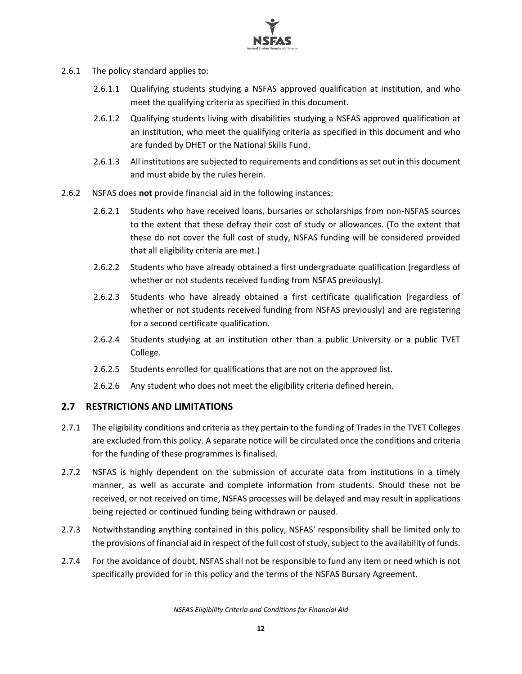

- 2.6.1 The policy standard applies to:
	- 2.6.1.1 Qualifying students studying a NSFAS approved qualification at institution, and who meet the qualifying criteria as specified in this document.
	- 2.6.1.2 Qualifying students living with disabilities studying a NSFAS approved qualification at an institution, who meet the qualifying criteria as specified in this document and who are funded by DHET or the National Skills Fund.
	- 2.6.1.3 All institutions are subjected to requirements and conditions as set out in this document and must abide by the rules herein.
- 2.6.2 NSFAS does **not** provide financial aid in the following instances:
	- 2.6.2.1 Students who have received loans, bursaries or scholarships from non-NSFAS sources to the extent that these defray their cost of study or allowances. (To the extent that these do not cover the full cost of study, NSFAS funding will be considered provided that all eligibility criteria are met.)
	- 2.6.2.2 Students who have already obtained a first undergraduate qualification (regardless of whether or not students received funding from NSFAS previously).
	- 2.6.2.3 Students who have already obtained a first certificate qualification (regardless of whether or not students received funding from NSFAS previously) and are registering for a second certificate qualification.
	- 2.6.2.4 Students studying at an institution other than a public University or a public TVET College.
	- 2.6.2.5 Students enrolled for qualifications that are not on the approved list.
	- 2.6.2.6 Any student who does not meet the eligibility criteria defined herein.

#### <span id="page-12-0"></span>**2.7 RESTRICTIONS AND LIMITATIONS**

- 2.7.1 The eligibility conditions and criteria as they pertain to the funding of Trades in the TVET Colleges are excluded from this policy. A separate notice will be circulated once the conditions and criteria for the funding of these programmes is finalised.
- 2.7.2 NSFAS is highly dependent on the submission of accurate data from institutions in a timely manner, as well as accurate and complete information from students. Should these not be received, or not received on time, NSFAS processes will be delayed and may result in applications being rejected or continued funding being withdrawn or paused.
- 2.7.3 Notwithstanding anything contained in this policy, NSFAS' responsibility shall be limited only to the provisions of financial aid in respect of the full cost of study, subject to the availability of funds.
- 2.7.4 For the avoidance of doubt, NSFAS shall not be responsible to fund any item or need which is not specifically provided for in this policy and the terms of the NSFAS Bursary Agreement.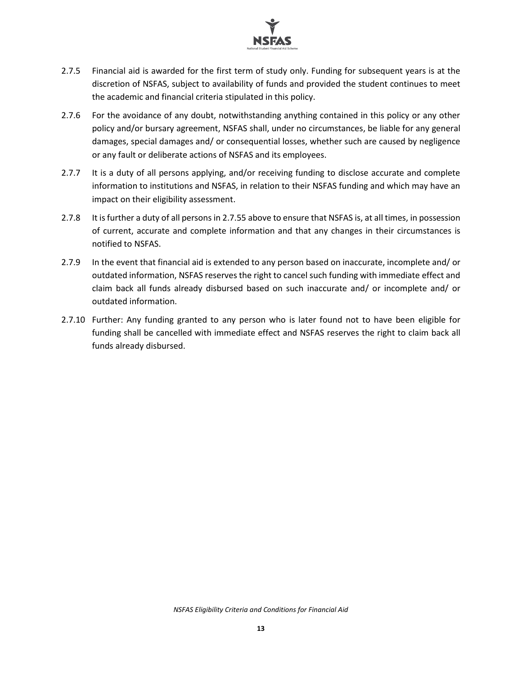

- <span id="page-13-0"></span>2.7.5 Financial aid is awarded for the first term of study only. Funding for subsequent years is at the discretion of NSFAS, subject to availability of funds and provided the student continues to meet the academic and financial criteria stipulated in this policy.
- 2.7.6 For the avoidance of any doubt, notwithstanding anything contained in this policy or any other policy and/or bursary agreement, NSFAS shall, under no circumstances, be liable for any general damages, special damages and/ or consequential losses, whether such are caused by negligence or any fault or deliberate actions of NSFAS and its employees.
- 2.7.7 It is a duty of all persons applying, and/or receiving funding to disclose accurate and complete information to institutions and NSFAS, in relation to their NSFAS funding and which may have an impact on their eligibility assessment.
- 2.7.8 It is further a duty of all persons in [2.7.55](#page-13-0) above to ensure that NSFAS is, at all times, in possession of current, accurate and complete information and that any changes in their circumstances is notified to NSFAS.
- 2.7.9 In the event that financial aid is extended to any person based on inaccurate, incomplete and/ or outdated information, NSFAS reserves the right to cancel such funding with immediate effect and claim back all funds already disbursed based on such inaccurate and/ or incomplete and/ or outdated information.
- 2.7.10 Further: Any funding granted to any person who is later found not to have been eligible for funding shall be cancelled with immediate effect and NSFAS reserves the right to claim back all funds already disbursed.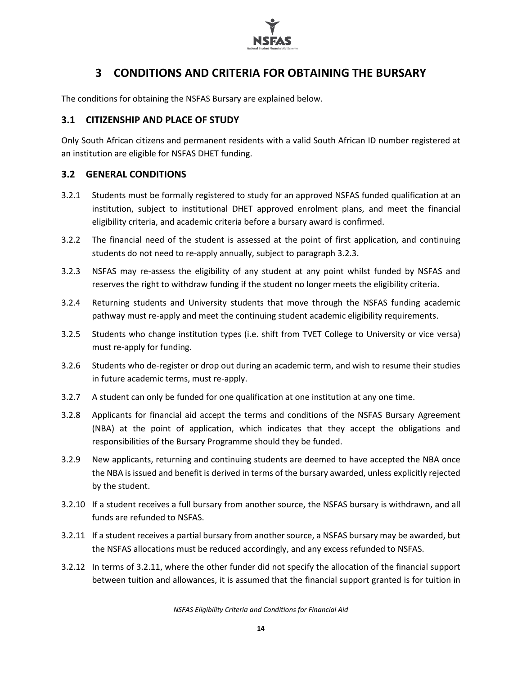

# **3 CONDITIONS AND CRITERIA FOR OBTAINING THE BURSARY**

<span id="page-14-0"></span>The conditions for obtaining the NSFAS Bursary are explained below.

#### <span id="page-14-1"></span>**3.1 CITIZENSHIP AND PLACE OF STUDY**

Only South African citizens and permanent residents with a valid South African ID number registered at an institution are eligible for NSFAS DHET funding.

#### <span id="page-14-2"></span>**3.2 GENERAL CONDITIONS**

- 3.2.1 Students must be formally registered to study for an approved NSFAS funded qualification at an institution, subject to institutional DHET approved enrolment plans, and meet the financial eligibility criteria, and academic criteria before a bursary award is confirmed.
- 3.2.2 The financial need of the student is assessed at the point of first application, and continuing students do not need to re-apply annually, subject to paragraph 3.2.3.
- 3.2.3 NSFAS may re-assess the eligibility of any student at any point whilst funded by NSFAS and reserves the right to withdraw funding if the student no longer meets the eligibility criteria.
- 3.2.4 Returning students and University students that move through the NSFAS funding academic pathway must re-apply and meet the continuing student academic eligibility requirements.
- 3.2.5 Students who change institution types (i.e. shift from TVET College to University or vice versa) must re-apply for funding.
- 3.2.6 Students who de-register or drop out during an academic term, and wish to resume their studies in future academic terms, must re-apply.
- 3.2.7 A student can only be funded for one qualification at one institution at any one time.
- 3.2.8 Applicants for financial aid accept the terms and conditions of the NSFAS Bursary Agreement (NBA) at the point of application, which indicates that they accept the obligations and responsibilities of the Bursary Programme should they be funded.
- 3.2.9 New applicants, returning and continuing students are deemed to have accepted the NBA once the NBA is issued and benefit is derived in terms of the bursary awarded, unless explicitly rejected by the student.
- 3.2.10 If a student receives a full bursary from another source, the NSFAS bursary is withdrawn, and all funds are refunded to NSFAS.
- 3.2.11 If a student receives a partial bursary from another source, a NSFAS bursary may be awarded, but the NSFAS allocations must be reduced accordingly, and any excess refunded to NSFAS.
- 3.2.12 In terms of 3.2.11, where the other funder did not specify the allocation of the financial support between tuition and allowances, it is assumed that the financial support granted is for tuition in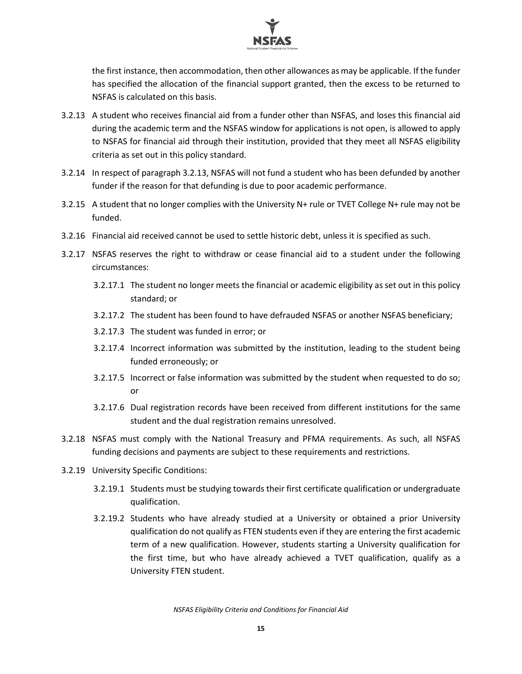

the first instance, then accommodation, then other allowances as may be applicable. If the funder has specified the allocation of the financial support granted, then the excess to be returned to NSFAS is calculated on this basis.

- 3.2.13 A student who receives financial aid from a funder other than NSFAS, and loses this financial aid during the academic term and the NSFAS window for applications is not open, is allowed to apply to NSFAS for financial aid through their institution, provided that they meet all NSFAS eligibility criteria as set out in this policy standard.
- 3.2.14 In respect of paragraph 3.2.13, NSFAS will not fund a student who has been defunded by another funder if the reason for that defunding is due to poor academic performance.
- 3.2.15 A student that no longer complies with the University N+ rule or TVET College N+ rule may not be funded.
- 3.2.16 Financial aid received cannot be used to settle historic debt, unless it is specified as such.
- 3.2.17 NSFAS reserves the right to withdraw or cease financial aid to a student under the following circumstances:
	- 3.2.17.1 The student no longer meets the financial or academic eligibility as set out in this policy standard; or
	- 3.2.17.2 The student has been found to have defrauded NSFAS or another NSFAS beneficiary;
	- 3.2.17.3 The student was funded in error; or
	- 3.2.17.4 Incorrect information was submitted by the institution, leading to the student being funded erroneously; or
	- 3.2.17.5 Incorrect or false information was submitted by the student when requested to do so; or
	- 3.2.17.6 Dual registration records have been received from different institutions for the same student and the dual registration remains unresolved.
- 3.2.18 NSFAS must comply with the National Treasury and PFMA requirements. As such, all NSFAS funding decisions and payments are subject to these requirements and restrictions.
- 3.2.19 University Specific Conditions:
	- 3.2.19.1 Students must be studying towards their first certificate qualification or undergraduate qualification.
	- 3.2.19.2 Students who have already studied at a University or obtained a prior University qualification do not qualify as FTEN students even if they are entering the first academic term of a new qualification. However, students starting a University qualification for the first time, but who have already achieved a TVET qualification, qualify as a University FTEN student.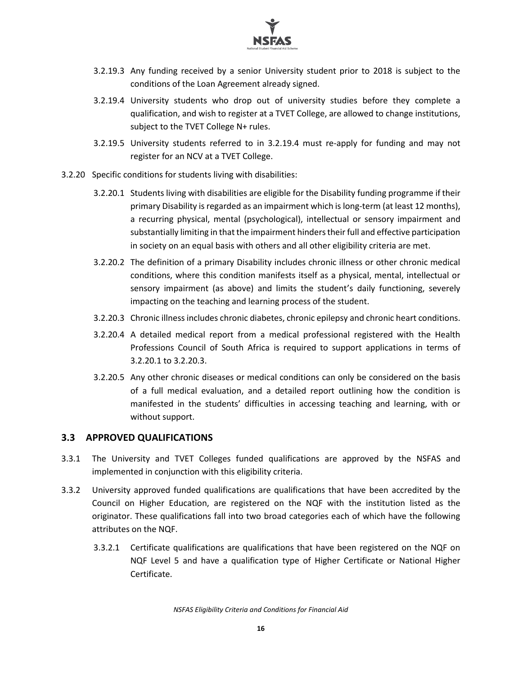

- 3.2.19.3 Any funding received by a senior University student prior to 2018 is subject to the conditions of the Loan Agreement already signed.
- 3.2.19.4 University students who drop out of university studies before they complete a qualification, and wish to register at a TVET College, are allowed to change institutions, subject to the TVET College N+ rules.
- 3.2.19.5 University students referred to in 3.2.19.4 must re-apply for funding and may not register for an NCV at a TVET College.
- <span id="page-16-1"></span>3.2.20 Specific conditions for students living with disabilities:
	- 3.2.20.1 Students living with disabilities are eligible for the Disability funding programme if their primary Disability is regarded as an impairment which is long-term (at least 12 months), a recurring physical, mental (psychological), intellectual or sensory impairment and substantially limiting in that the impairment hinderstheir full and effective participation in society on an equal basis with others and all other eligibility criteria are met.
	- 3.2.20.2 The definition of a primary Disability includes chronic illness or other chronic medical conditions, where this condition manifests itself as a physical, mental, intellectual or sensory impairment (as above) and limits the student's daily functioning, severely impacting on the teaching and learning process of the student.
	- 3.2.20.3 Chronic illness includes chronic diabetes, chronic epilepsy and chronic heart conditions.
	- 3.2.20.4 A detailed medical report from a medical professional registered with the Health Professions Council of South Africa is required to support applications in terms of [3.2.20.1](#page-16-1) t[o 3.2.20.3.](#page-16-2)
	- 3.2.20.5 Any other chronic diseases or medical conditions can only be considered on the basis of a full medical evaluation, and a detailed report outlining how the condition is manifested in the students' difficulties in accessing teaching and learning, with or without support.

#### <span id="page-16-2"></span><span id="page-16-0"></span>**3.3 APPROVED QUALIFICATIONS**

- 3.3.1 The University and TVET Colleges funded qualifications are approved by the NSFAS and implemented in conjunction with this eligibility criteria.
- <span id="page-16-3"></span>3.3.2 University approved funded qualifications are qualifications that have been accredited by the Council on Higher Education, are registered on the NQF with the institution listed as the originator. These qualifications fall into two broad categories each of which have the following attributes on the NQF.
	- 3.3.2.1 Certificate qualifications are qualifications that have been registered on the NQF on NQF Level 5 and have a qualification type of Higher Certificate or National Higher Certificate.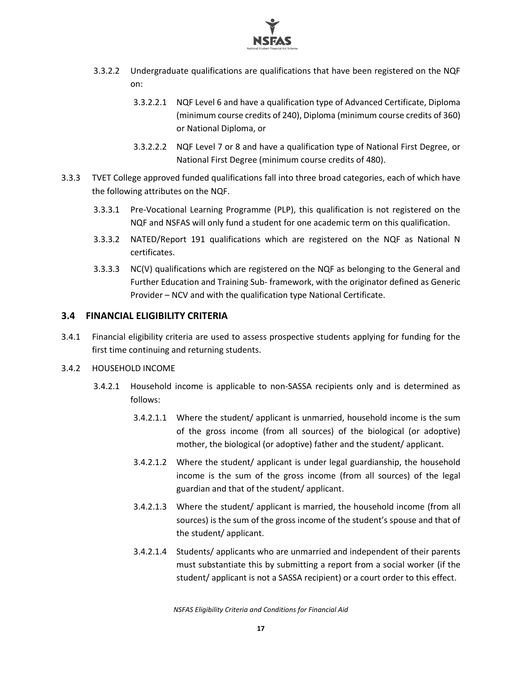

- 3.3.2.2 Undergraduate qualifications are qualifications that have been registered on the NQF on:
	- 3.3.2.2.1 NQF Level 6 and have a qualification type of Advanced Certificate, Diploma (minimum course credits of 240), Diploma (minimum course credits of 360) or National Diploma, or
	- 3.3.2.2.2 NQF Level 7 or 8 and have a qualification type of National First Degree, or National First Degree (minimum course credits of 480).
- 3.3.3 TVET College approved funded qualifications fall into three broad categories, each of which have the following attributes on the NQF.
	- 3.3.3.1 Pre-Vocational Learning Programme (PLP), this qualification is not registered on the NQF and NSFAS will only fund a student for one academic term on this qualification.
	- 3.3.3.2 NATED/Report 191 qualifications which are registered on the NQF as National N certificates.
	- 3.3.3.3 NC(V) qualifications which are registered on the NQF as belonging to the General and Further Education and Training Sub- framework, with the originator defined as Generic Provider – NCV and with the qualification type National Certificate.

#### <span id="page-17-0"></span>**3.4 FINANCIAL ELIGIBILITY CRITERIA**

3.4.1 Financial eligibility criteria are used to assess prospective students applying for funding for the first time continuing and returning students.

#### 3.4.2 HOUSEHOLD INCOME

- 3.4.2.1 Household income is applicable to non-SASSA recipients only and is determined as follows:
	- 3.4.2.1.1 Where the student/ applicant is unmarried, household income is the sum of the gross income (from all sources) of the biological (or adoptive) mother, the biological (or adoptive) father and the student/ applicant.
	- 3.4.2.1.2 Where the student/ applicant is under legal guardianship, the household income is the sum of the gross income (from all sources) of the legal guardian and that of the student/ applicant.
	- 3.4.2.1.3 Where the student/ applicant is married, the household income (from all sources) is the sum of the gross income of the student's spouse and that of the student/ applicant.
	- 3.4.2.1.4 Students/ applicants who are unmarried and independent of their parents must substantiate this by submitting a report from a social worker (if the student/ applicant is not a SASSA recipient) or a court order to this effect.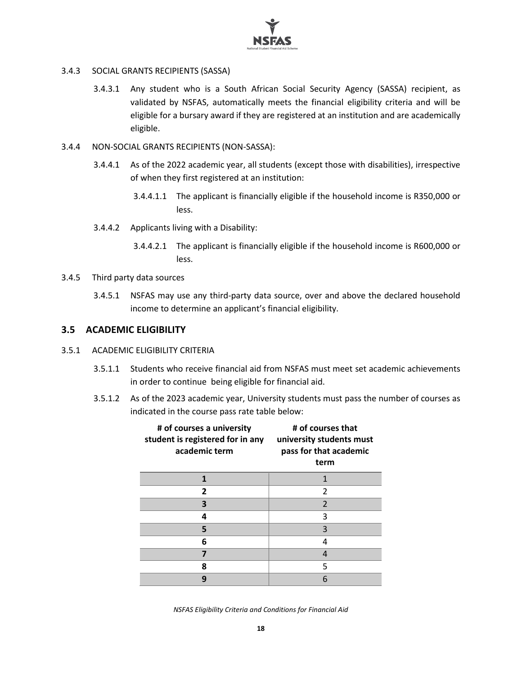

- 3.4.3 SOCIAL GRANTS RECIPIENTS (SASSA)
	- 3.4.3.1 Any student who is a South African Social Security Agency (SASSA) recipient, as validated by NSFAS, automatically meets the financial eligibility criteria and will be eligible for a bursary award if they are registered at an institution and are academically eligible.
- 3.4.4 NON-SOCIAL GRANTS RECIPIENTS (NON-SASSA):
	- 3.4.4.1 As of the 2022 academic year, all students (except those with disabilities), irrespective of when they first registered at an institution:
		- 3.4.4.1.1 The applicant is financially eligible if the household income is R350,000 or less.
	- 3.4.4.2 Applicants living with a Disability:
		- 3.4.4.2.1 The applicant is financially eligible if the household income is R600,000 or less.
- 3.4.5 Third party data sources
	- 3.4.5.1 NSFAS may use any third-party data source, over and above the declared household income to determine an applicant's financial eligibility.

#### <span id="page-18-0"></span>**3.5 ACADEMIC ELIGIBILITY**

#### 3.5.1 ACADEMIC ELIGIBILITY CRITERIA

- 3.5.1.1 Students who receive financial aid from NSFAS must meet set academic achievements in order to continue being eligible for financial aid.
- 3.5.1.2 As of the 2023 academic year, University students must pass the number of courses as indicated in the course pass rate table below:

| # of courses a university<br>student is registered for in any<br>academic term | # of courses that<br>university students must<br>pass for that academic<br>term |
|--------------------------------------------------------------------------------|---------------------------------------------------------------------------------|
|                                                                                |                                                                                 |
| 2                                                                              | $\mathfrak z$                                                                   |
| 3                                                                              | $\overline{2}$                                                                  |
| 4                                                                              | 3                                                                               |
| 5                                                                              | 3                                                                               |
| 6                                                                              | 4                                                                               |
|                                                                                |                                                                                 |
| 8                                                                              | 5                                                                               |
| 9                                                                              | 6                                                                               |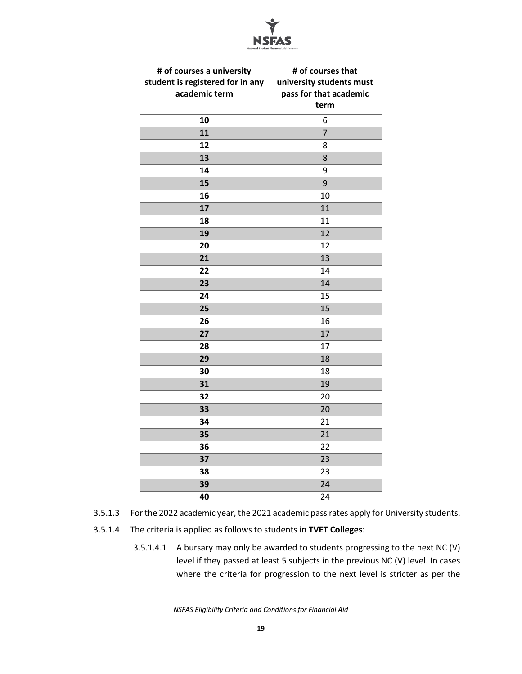

| student is registered for in any<br>academic term | university students must<br>pass for that academic |
|---------------------------------------------------|----------------------------------------------------|
|                                                   |                                                    |
|                                                   |                                                    |
|                                                   | term                                               |
| 10                                                | 6                                                  |
| 11                                                | $\overline{7}$                                     |
| 12                                                | 8                                                  |
| 13                                                | 8                                                  |
| 14                                                | 9                                                  |
| 15                                                | 9                                                  |
| 16                                                | 10                                                 |
| 17                                                | 11                                                 |
| 18                                                | 11                                                 |
| 19                                                | 12                                                 |
| 20                                                | 12                                                 |
| 21                                                | 13                                                 |
| 22                                                | 14                                                 |
| 23                                                | 14                                                 |
| 24                                                | 15                                                 |
| 25                                                | 15                                                 |
| 26                                                | 16                                                 |
| 27                                                | 17                                                 |
| 28                                                | 17                                                 |
| 29                                                | 18                                                 |
| 30                                                | 18                                                 |
| 31                                                | 19                                                 |
| 32                                                | 20                                                 |
| 33                                                | 20                                                 |
| 34                                                | 21                                                 |
| 35                                                | 21                                                 |
| 36                                                | 22                                                 |
| 37                                                | 23                                                 |
| 38                                                | 23                                                 |
| 39                                                | 24                                                 |
| 40                                                | 24                                                 |

- 3.5.1.3 For the 2022 academic year, the 2021 academic pass rates apply for University students.
- 3.5.1.4 The criteria is applied as follows to students in **TVET Colleges**:
	- 3.5.1.4.1 A bursary may only be awarded to students progressing to the next NC (V) level if they passed at least 5 subjects in the previous NC (V) level. In cases where the criteria for progression to the next level is stricter as per the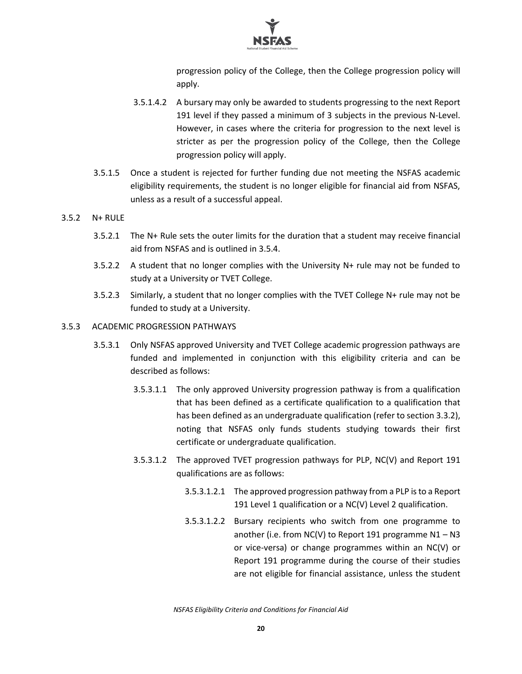

progression policy of the College, then the College progression policy will apply.

- 3.5.1.4.2 A bursary may only be awarded to students progressing to the next Report 191 level if they passed a minimum of 3 subjects in the previous N-Level. However, in cases where the criteria for progression to the next level is stricter as per the progression policy of the College, then the College progression policy will apply.
- 3.5.1.5 Once a student is rejected for further funding due not meeting the NSFAS academic eligibility requirements, the student is no longer eligible for financial aid from NSFAS, unless as a result of a successful appeal.

#### 3.5.2 N+ RULE

- 3.5.2.1 The N+ Rule sets the outer limits for the duration that a student may receive financial aid from NSFAS and is outlined in 3.5.4.
- 3.5.2.2 A student that no longer complies with the University N+ rule may not be funded to study at a University or TVET College.
- 3.5.2.3 Similarly, a student that no longer complies with the TVET College N+ rule may not be funded to study at a University.

#### 3.5.3 ACADEMIC PROGRESSION PATHWAYS

- 3.5.3.1 Only NSFAS approved University and TVET College academic progression pathways are funded and implemented in conjunction with this eligibility criteria and can be described as follows:
	- 3.5.3.1.1 The only approved University progression pathway is from a qualification that has been defined as a certificate qualification to a qualification that has been defined as an undergraduate qualification (refer to sectio[n 3.3.2\)](#page-16-3), noting that NSFAS only funds students studying towards their first certificate or undergraduate qualification.
	- 3.5.3.1.2 The approved TVET progression pathways for PLP, NC(V) and Report 191 qualifications are as follows:
		- 3.5.3.1.2.1 The approved progression pathway from a PLP is to a Report 191 Level 1 qualification or a NC(V) Level 2 qualification.
		- 3.5.3.1.2.2 Bursary recipients who switch from one programme to another (i.e. from NC(V) to Report 191 programme  $N1 - N3$ or vice-versa) or change programmes within an NC(V) or Report 191 programme during the course of their studies are not eligible for financial assistance, unless the student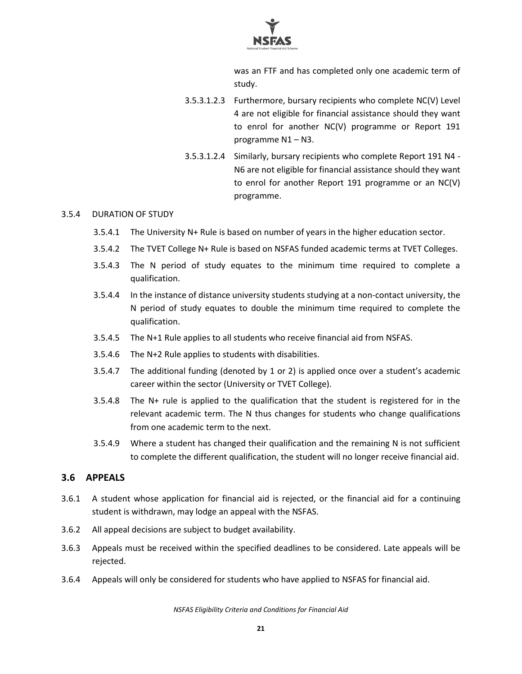

was an FTF and has completed only one academic term of study.

- 3.5.3.1.2.3 Furthermore, bursary recipients who complete NC(V) Level 4 are not eligible for financial assistance should they want to enrol for another NC(V) programme or Report 191 programme N1 – N3.
- 3.5.3.1.2.4 Similarly, bursary recipients who complete Report 191 N4 N6 are not eligible for financial assistance should they want to enrol for another Report 191 programme or an NC(V) programme.

#### 3.5.4 DURATION OF STUDY

- 3.5.4.1 The University N+ Rule is based on number of years in the higher education sector.
- 3.5.4.2 The TVET College N+ Rule is based on NSFAS funded academic terms at TVET Colleges.
- 3.5.4.3 The N period of study equates to the minimum time required to complete a qualification.
- 3.5.4.4 In the instance of distance university students studying at a non-contact university, the N period of study equates to double the minimum time required to complete the qualification.
- 3.5.4.5 The N+1 Rule applies to all students who receive financial aid from NSFAS.
- 3.5.4.6 The N+2 Rule applies to students with disabilities.
- 3.5.4.7 The additional funding (denoted by 1 or 2) is applied once over a student's academic career within the sector (University or TVET College).
- 3.5.4.8 The N+ rule is applied to the qualification that the student is registered for in the relevant academic term. The N thus changes for students who change qualifications from one academic term to the next.
- 3.5.4.9 Where a student has changed their qualification and the remaining N is not sufficient to complete the different qualification, the student will no longer receive financial aid.

#### <span id="page-21-0"></span>**3.6 APPEALS**

- 3.6.1 A student whose application for financial aid is rejected, or the financial aid for a continuing student is withdrawn, may lodge an appeal with the NSFAS.
- 3.6.2 All appeal decisions are subject to budget availability.
- 3.6.3 Appeals must be received within the specified deadlines to be considered. Late appeals will be rejected.
- 3.6.4 Appeals will only be considered for students who have applied to NSFAS for financial aid.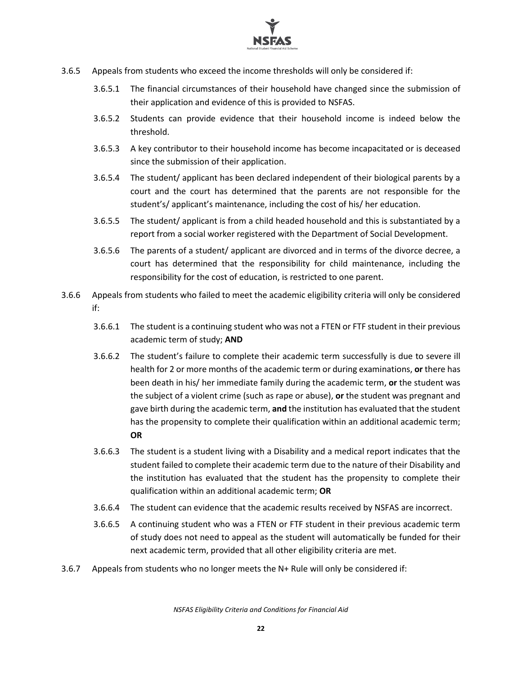

- 3.6.5 Appeals from students who exceed the income thresholds will only be considered if:
	- 3.6.5.1 The financial circumstances of their household have changed since the submission of their application and evidence of this is provided to NSFAS.
	- 3.6.5.2 Students can provide evidence that their household income is indeed below the threshold.
	- 3.6.5.3 A key contributor to their household income has become incapacitated or is deceased since the submission of their application.
	- 3.6.5.4 The student/ applicant has been declared independent of their biological parents by a court and the court has determined that the parents are not responsible for the student's/ applicant's maintenance, including the cost of his/ her education.
	- 3.6.5.5 The student/ applicant is from a child headed household and this is substantiated by a report from a social worker registered with the Department of Social Development.
	- 3.6.5.6 The parents of a student/ applicant are divorced and in terms of the divorce decree, a court has determined that the responsibility for child maintenance, including the responsibility for the cost of education, is restricted to one parent.
- 3.6.6 Appeals from students who failed to meet the academic eligibility criteria will only be considered if:
	- 3.6.6.1 The student is a continuing student who was not a FTEN or FTF student in their previous academic term of study; **AND**
	- 3.6.6.2 The student's failure to complete their academic term successfully is due to severe ill health for 2 or more months of the academic term or during examinations, **or** there has been death in his/ her immediate family during the academic term, **or** the student was the subject of a violent crime (such as rape or abuse), **or** the student was pregnant and gave birth during the academic term, **and** the institution has evaluated that the student has the propensity to complete their qualification within an additional academic term; **OR**
	- 3.6.6.3 The student is a student living with a Disability and a medical report indicates that the student failed to complete their academic term due to the nature of their Disability and the institution has evaluated that the student has the propensity to complete their qualification within an additional academic term; **OR**
	- 3.6.6.4 The student can evidence that the academic results received by NSFAS are incorrect.
	- 3.6.6.5 A continuing student who was a FTEN or FTF student in their previous academic term of study does not need to appeal as the student will automatically be funded for their next academic term, provided that all other eligibility criteria are met.
- 3.6.7 Appeals from students who no longer meets the N+ Rule will only be considered if: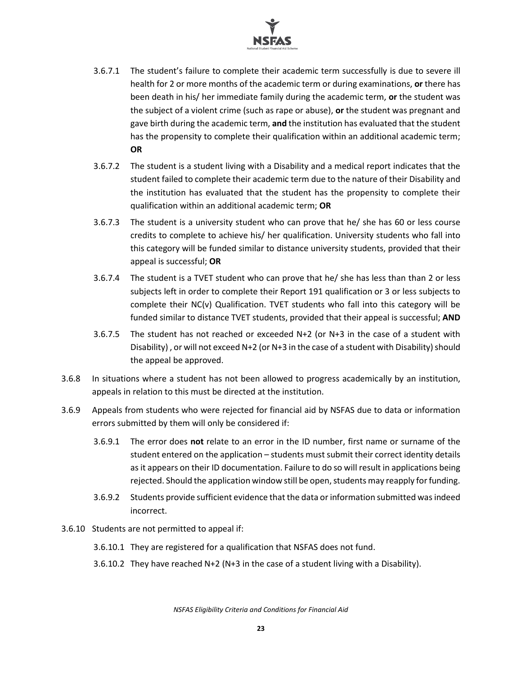

- 3.6.7.1 The student's failure to complete their academic term successfully is due to severe ill health for 2 or more months of the academic term or during examinations, **or** there has been death in his/ her immediate family during the academic term, **or** the student was the subject of a violent crime (such as rape or abuse), **or** the student was pregnant and gave birth during the academic term, **and** the institution has evaluated that the student has the propensity to complete their qualification within an additional academic term; **OR**
- 3.6.7.2 The student is a student living with a Disability and a medical report indicates that the student failed to complete their academic term due to the nature of their Disability and the institution has evaluated that the student has the propensity to complete their qualification within an additional academic term; **OR**
- 3.6.7.3 The student is a university student who can prove that he/ she has 60 or less course credits to complete to achieve his/ her qualification. University students who fall into this category will be funded similar to distance university students, provided that their appeal is successful; **OR**
- 3.6.7.4 The student is a TVET student who can prove that he/ she has less than than 2 or less subjects left in order to complete their Report 191 qualification or 3 or less subjects to complete their NC(v) Qualification. TVET students who fall into this category will be funded similar to distance TVET students, provided that their appeal is successful; **AND**
- 3.6.7.5 The student has not reached or exceeded N+2 (or N+3 in the case of a student with Disability) , or will not exceed N+2 (or N+3 in the case of a student with Disability) should the appeal be approved.
- 3.6.8 In situations where a student has not been allowed to progress academically by an institution, appeals in relation to this must be directed at the institution.
- 3.6.9 Appeals from students who were rejected for financial aid by NSFAS due to data or information errors submitted by them will only be considered if:
	- 3.6.9.1 The error does **not** relate to an error in the ID number, first name or surname of the student entered on the application – students must submit their correct identity details as it appears on their ID documentation. Failure to do so will result in applications being rejected. Should the application window still be open, students may reapply for funding.
	- 3.6.9.2 Students provide sufficient evidence that the data or information submitted was indeed incorrect.
- 3.6.10 Students are not permitted to appeal if:
	- 3.6.10.1 They are registered for a qualification that NSFAS does not fund.
	- 3.6.10.2 They have reached N+2 (N+3 in the case of a student living with a Disability).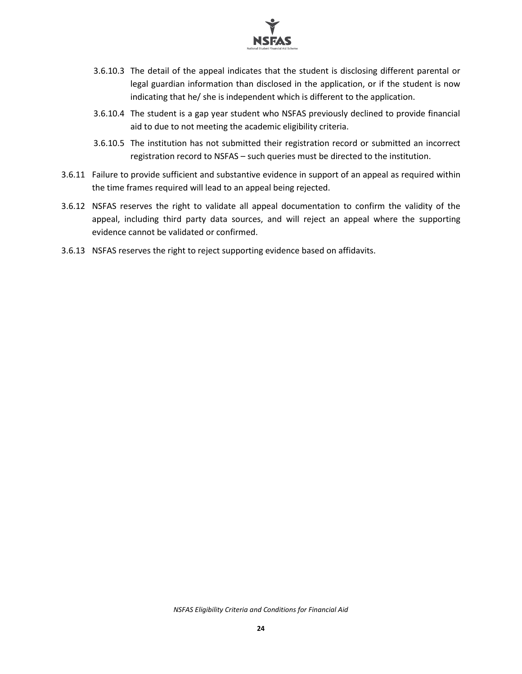

- 3.6.10.3 The detail of the appeal indicates that the student is disclosing different parental or legal guardian information than disclosed in the application, or if the student is now indicating that he/ she is independent which is different to the application.
- 3.6.10.4 The student is a gap year student who NSFAS previously declined to provide financial aid to due to not meeting the academic eligibility criteria.
- 3.6.10.5 The institution has not submitted their registration record or submitted an incorrect registration record to NSFAS – such queries must be directed to the institution.
- 3.6.11 Failure to provide sufficient and substantive evidence in support of an appeal as required within the time frames required will lead to an appeal being rejected.
- 3.6.12 NSFAS reserves the right to validate all appeal documentation to confirm the validity of the appeal, including third party data sources, and will reject an appeal where the supporting evidence cannot be validated or confirmed.
- 3.6.13 NSFAS reserves the right to reject supporting evidence based on affidavits.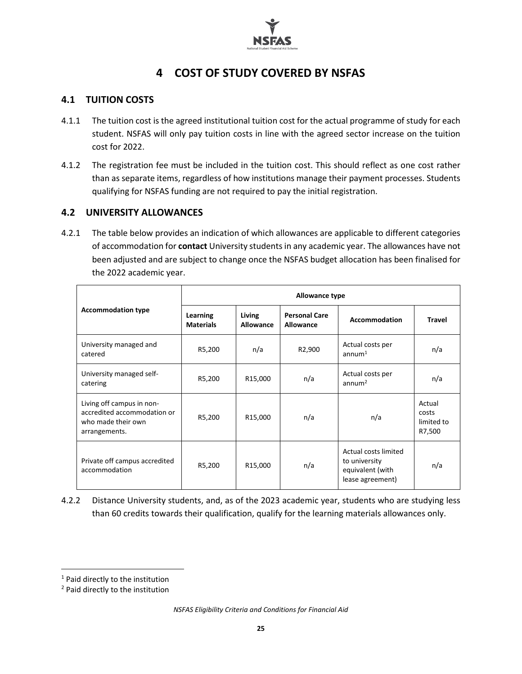

# **4 COST OF STUDY COVERED BY NSFAS**

#### <span id="page-25-1"></span><span id="page-25-0"></span>**4.1 TUITION COSTS**

- 4.1.1 The tuition cost is the agreed institutional tuition cost for the actual programme of study for each student. NSFAS will only pay tuition costs in line with the agreed sector increase on the tuition cost for 2022.
- 4.1.2 The registration fee must be included in the tuition cost. This should reflect as one cost rather than as separate items, regardless of how institutions manage their payment processes. Students qualifying for NSFAS funding are not required to pay the initial registration.

#### <span id="page-25-2"></span>**4.2 UNIVERSITY ALLOWANCES**

4.2.1 The table below provides an indication of which allowances are applicable to different categories of accommodation for **contact** University studentsin any academic year. The allowances have not been adjusted and are subject to change once the NSFAS budget allocation has been finalised for the 2022 academic year.

|                                                                                                 | Allowance type               |                      |                                   |                                                                               |                                         |  |
|-------------------------------------------------------------------------------------------------|------------------------------|----------------------|-----------------------------------|-------------------------------------------------------------------------------|-----------------------------------------|--|
| <b>Accommodation type</b>                                                                       | Learning<br><b>Materials</b> | Living<br>Allowance  | <b>Personal Care</b><br>Allowance | <b>Accommodation</b>                                                          | <b>Travel</b>                           |  |
| University managed and<br>catered                                                               | R5,200                       | n/a                  | R2,900                            | Actual costs per<br>annum <sup>1</sup>                                        | n/a                                     |  |
| University managed self-<br>catering                                                            | R5,200                       | R <sub>15</sub> ,000 | n/a                               | Actual costs per<br>annum <sup>2</sup>                                        | n/a                                     |  |
| Living off campus in non-<br>accredited accommodation or<br>who made their own<br>arrangements. | R5,200                       | R <sub>15</sub> ,000 | n/a                               | n/a                                                                           | Actual<br>costs<br>limited to<br>R7,500 |  |
| Private off campus accredited<br>accommodation                                                  | R5,200                       | R15,000              | n/a                               | Actual costs limited<br>to university<br>equivalent (with<br>lease agreement) | n/a                                     |  |

4.2.2 Distance University students, and, as of the 2023 academic year, students who are studying less than 60 credits towards their qualification, qualify for the learning materials allowances only.

<sup>1</sup> Paid directly to the institution

<sup>2</sup> Paid directly to the institution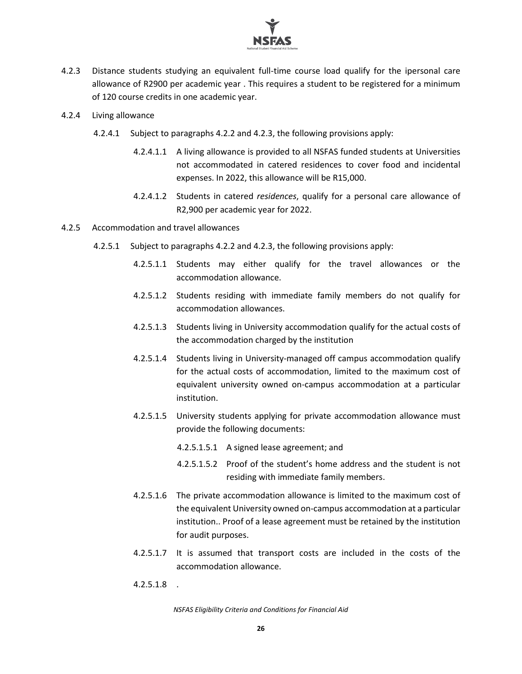

- 4.2.3 Distance students studying an equivalent full-time course load qualify for the ipersonal care allowance of R2900 per academic year . This requires a student to be registered for a minimum of 120 course credits in one academic year.
- 4.2.4 Living allowance
	- 4.2.4.1 Subject to paragraphs 4.2.2 and 4.2.3, the following provisions apply:
		- 4.2.4.1.1 A living allowance is provided to all NSFAS funded students at Universities not accommodated in catered residences to cover food and incidental expenses. In 2022, this allowance will be R15,000.
		- 4.2.4.1.2 Students in catered *residences*, qualify for a personal care allowance of R2,900 per academic year for 2022.
- 4.2.5 Accommodation and travel allowances
	- 4.2.5.1 Subject to paragraphs 4.2.2 and 4.2.3, the following provisions apply:
		- 4.2.5.1.1 Students may either qualify for the travel allowances or the accommodation allowance.
		- 4.2.5.1.2 Students residing with immediate family members do not qualify for accommodation allowances.
		- 4.2.5.1.3 Students living in University accommodation qualify for the actual costs of the accommodation charged by the institution
		- 4.2.5.1.4 Students living in University-managed off campus accommodation qualify for the actual costs of accommodation, limited to the maximum cost of equivalent university owned on-campus accommodation at a particular institution.
		- 4.2.5.1.5 University students applying for private accommodation allowance must provide the following documents:
			- 4.2.5.1.5.1 A signed lease agreement; and
			- 4.2.5.1.5.2 Proof of the student's home address and the student is not residing with immediate family members.
		- 4.2.5.1.6 The private accommodation allowance is limited to the maximum cost of the equivalent University owned on-campus accommodation at a particular institution.. Proof of a lease agreement must be retained by the institution for audit purposes.
		- 4.2.5.1.7 It is assumed that transport costs are included in the costs of the accommodation allowance.
		- 4.2.5.1.8 .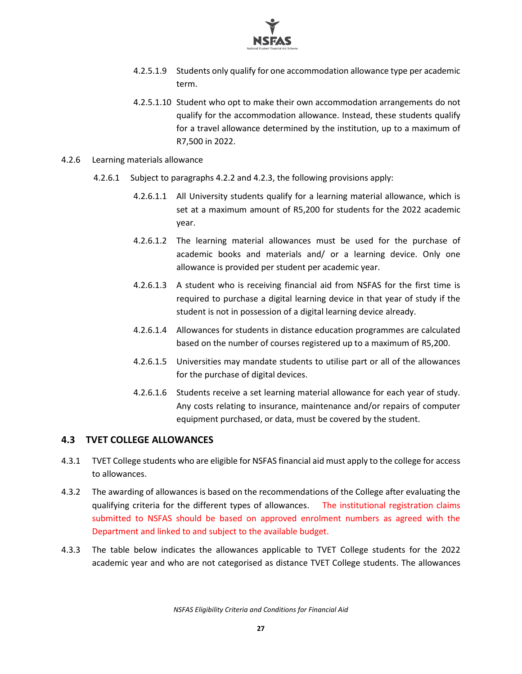

- 4.2.5.1.9 Students only qualify for one accommodation allowance type per academic term.
- 4.2.5.1.10 Student who opt to make their own accommodation arrangements do not qualify for the accommodation allowance. Instead, these students qualify for a travel allowance determined by the institution, up to a maximum of R7,500 in 2022.
- 4.2.6 Learning materials allowance
	- 4.2.6.1 Subject to paragraphs 4.2.2 and 4.2.3, the following provisions apply:
		- 4.2.6.1.1 All University students qualify for a learning material allowance, which is set at a maximum amount of R5,200 for students for the 2022 academic year.
		- 4.2.6.1.2 The learning material allowances must be used for the purchase of academic books and materials and/ or a learning device. Only one allowance is provided per student per academic year.
		- 4.2.6.1.3 A student who is receiving financial aid from NSFAS for the first time is required to purchase a digital learning device in that year of study if the student is not in possession of a digital learning device already.
		- 4.2.6.1.4 Allowances for students in distance education programmes are calculated based on the number of courses registered up to a maximum of R5,200.
		- 4.2.6.1.5 Universities may mandate students to utilise part or all of the allowances for the purchase of digital devices.
		- 4.2.6.1.6 Students receive a set learning material allowance for each year of study. Any costs relating to insurance, maintenance and/or repairs of computer equipment purchased, or data, must be covered by the student.

#### <span id="page-27-0"></span>**4.3 TVET COLLEGE ALLOWANCES**

- 4.3.1 TVET College students who are eligible for NSFAS financial aid must apply to the college for access to allowances.
- 4.3.2 The awarding of allowances is based on the recommendations of the College after evaluating the qualifying criteria for the different types of allowances. The institutional registration claims submitted to NSFAS should be based on approved enrolment numbers as agreed with the Department and linked to and subject to the available budget.
- 4.3.3 The table below indicates the allowances applicable to TVET College students for the 2022 academic year and who are not categorised as distance TVET College students. The allowances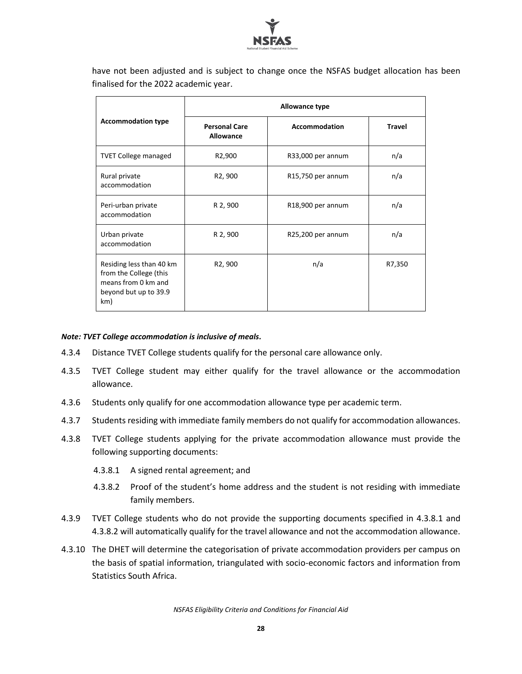

have not been adjusted and is subject to change once the NSFAS budget allocation has been finalised for the 2022 academic year.

| <b>Accommodation type</b>                                                                                 | Allowance type                    |                                |               |
|-----------------------------------------------------------------------------------------------------------|-----------------------------------|--------------------------------|---------------|
|                                                                                                           | <b>Personal Care</b><br>Allowance | <b>Accommodation</b>           | <b>Travel</b> |
| <b>TVET College managed</b>                                                                               | R <sub>2</sub> ,900               | R33,000 per annum              | n/a           |
| Rural private<br>accommodation                                                                            | R <sub>2</sub> , 900              | R15,750 per annum              | n/a           |
| Peri-urban private<br>accommodation                                                                       | R 2, 900                          | R <sub>18</sub> ,900 per annum | n/a           |
| Urban private<br>accommodation                                                                            | R 2, 900                          | R25,200 per annum              | n/a           |
| Residing less than 40 km<br>from the College (this<br>means from 0 km and<br>beyond but up to 39.9<br>km) | R <sub>2</sub> , 900              | n/a                            | R7,350        |

#### *Note: TVET College accommodation is inclusive of meals.*

- 4.3.4 Distance TVET College students qualify for the personal care allowance only.
- 4.3.5 TVET College student may either qualify for the travel allowance or the accommodation allowance.
- 4.3.6 Students only qualify for one accommodation allowance type per academic term.
- 4.3.7 Students residing with immediate family members do not qualify for accommodation allowances.
- 4.3.8 TVET College students applying for the private accommodation allowance must provide the following supporting documents:
	- 4.3.8.1 A signed rental agreement; and
	- 4.3.8.2 Proof of the student's home address and the student is not residing with immediate family members.
- 4.3.9 TVET College students who do not provide the supporting documents specified in 4.3.8.1 and 4.3.8.2 will automatically qualify for the travel allowance and not the accommodation allowance.
- 4.3.10 The DHET will determine the categorisation of private accommodation providers per campus on the basis of spatial information, triangulated with socio-economic factors and information from Statistics South Africa.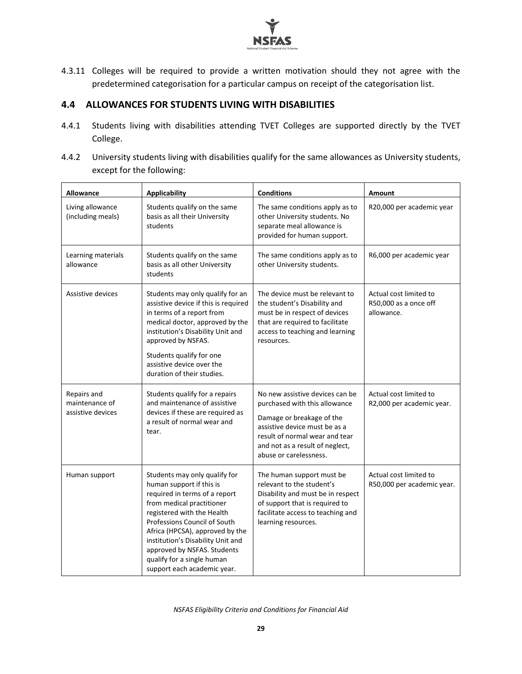

4.3.11 Colleges will be required to provide a written motivation should they not agree with the predetermined categorisation for a particular campus on receipt of the categorisation list.

#### <span id="page-29-0"></span>**4.4 ALLOWANCES FOR STUDENTS LIVING WITH DISABILITIES**

- 4.4.1 Students living with disabilities attending TVET Colleges are supported directly by the TVET College.
- 4.4.2 University students living with disabilities qualify for the same allowances as University students, except for the following:

| Allowance                                          | <b>Applicability</b>                                                                                                                                                                                                                                                                                                                                      | <b>Conditions</b>                                                                                                                                                                                                             | <b>Amount</b>                                                 |
|----------------------------------------------------|-----------------------------------------------------------------------------------------------------------------------------------------------------------------------------------------------------------------------------------------------------------------------------------------------------------------------------------------------------------|-------------------------------------------------------------------------------------------------------------------------------------------------------------------------------------------------------------------------------|---------------------------------------------------------------|
| Living allowance<br>(including meals)              | Students qualify on the same<br>basis as all their University<br>students                                                                                                                                                                                                                                                                                 | The same conditions apply as to<br>other University students. No<br>separate meal allowance is<br>provided for human support.                                                                                                 | R20,000 per academic year                                     |
| Learning materials<br>allowance                    | Students qualify on the same<br>basis as all other University<br>students                                                                                                                                                                                                                                                                                 | The same conditions apply as to<br>other University students.                                                                                                                                                                 | R6,000 per academic year                                      |
| Assistive devices                                  | Students may only qualify for an<br>assistive device if this is required<br>in terms of a report from<br>medical doctor, approved by the<br>institution's Disability Unit and<br>approved by NSFAS.<br>Students qualify for one<br>assistive device over the<br>duration of their studies.                                                                | The device must be relevant to<br>the student's Disability and<br>must be in respect of devices<br>that are required to facilitate<br>access to teaching and learning<br>resources.                                           | Actual cost limited to<br>R50,000 as a once off<br>allowance. |
| Repairs and<br>maintenance of<br>assistive devices | Students qualify for a repairs<br>and maintenance of assistive<br>devices if these are required as<br>a result of normal wear and<br>tear.                                                                                                                                                                                                                | No new assistive devices can be<br>purchased with this allowance<br>Damage or breakage of the<br>assistive device must be as a<br>result of normal wear and tear<br>and not as a result of neglect,<br>abuse or carelessness. | Actual cost limited to<br>R2,000 per academic year.           |
| Human support                                      | Students may only qualify for<br>human support if this is<br>required in terms of a report<br>from medical practitioner<br>registered with the Health<br>Professions Council of South<br>Africa (HPCSA), approved by the<br>institution's Disability Unit and<br>approved by NSFAS. Students<br>qualify for a single human<br>support each academic year. | The human support must be<br>relevant to the student's<br>Disability and must be in respect<br>of support that is required to<br>facilitate access to teaching and<br>learning resources.                                     | Actual cost limited to<br>R50,000 per academic year.          |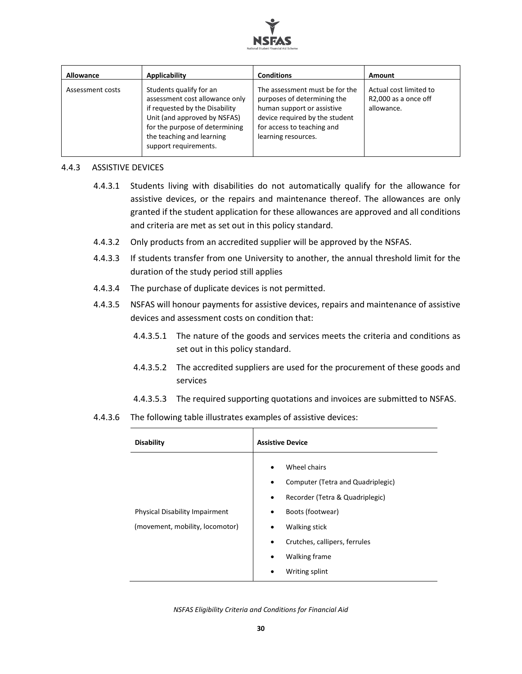

| <b>Allowance</b> | <b>Applicability</b>                                                                                                                                                                                                | <b>Conditions</b>                                                                                                                                                                  | Amount                                                       |
|------------------|---------------------------------------------------------------------------------------------------------------------------------------------------------------------------------------------------------------------|------------------------------------------------------------------------------------------------------------------------------------------------------------------------------------|--------------------------------------------------------------|
| Assessment costs | Students qualify for an<br>assessment cost allowance only<br>if requested by the Disability<br>Unit (and approved by NSFAS)<br>for the purpose of determining<br>the teaching and learning<br>support requirements. | The assessment must be for the<br>purposes of determining the<br>human support or assistive<br>device required by the student<br>for access to teaching and<br>learning resources. | Actual cost limited to<br>R2,000 as a once off<br>allowance. |

#### 4.4.3 ASSISTIVE DEVICES

- 4.4.3.1 Students living with disabilities do not automatically qualify for the allowance for assistive devices, or the repairs and maintenance thereof. The allowances are only granted if the student application for these allowances are approved and all conditions and criteria are met as set out in this policy standard.
- 4.4.3.2 Only products from an accredited supplier will be approved by the NSFAS.
- 4.4.3.3 If students transfer from one University to another, the annual threshold limit for the duration of the study period still applies
- 4.4.3.4 The purchase of duplicate devices is not permitted.
- 4.4.3.5 NSFAS will honour payments for assistive devices, repairs and maintenance of assistive devices and assessment costs on condition that:
	- 4.4.3.5.1 The nature of the goods and services meets the criteria and conditions as set out in this policy standard.
	- 4.4.3.5.2 The accredited suppliers are used for the procurement of these goods and services
	- 4.4.3.5.3 The required supporting quotations and invoices are submitted to NSFAS.
- 4.4.3.6 The following table illustrates examples of assistive devices:

| <b>Disability</b>                                                        | <b>Assistive Device</b>                                                                                                                                                                                                                                                                      |
|--------------------------------------------------------------------------|----------------------------------------------------------------------------------------------------------------------------------------------------------------------------------------------------------------------------------------------------------------------------------------------|
| <b>Physical Disability Impairment</b><br>(movement, mobility, locomotor) | Wheel chairs<br>$\bullet$<br>Computer (Tetra and Quadriplegic)<br>$\bullet$<br>Recorder (Tetra & Quadriplegic)<br>$\bullet$<br>Boots (footwear)<br>$\bullet$<br><b>Walking stick</b><br>$\bullet$<br>Crutches, callipers, ferrules<br>٠<br>Walking frame<br>$\bullet$<br>Writing splint<br>٠ |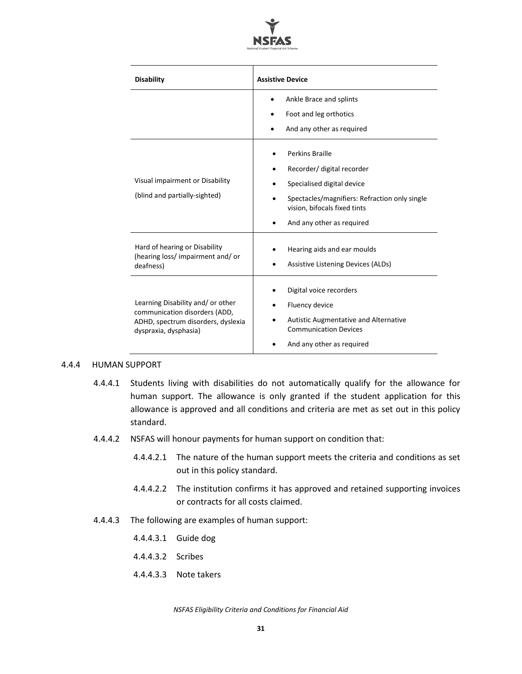

| <b>Disability</b>                                                                                                                 | <b>Assistive Device</b>                                                                                                                                                                          |
|-----------------------------------------------------------------------------------------------------------------------------------|--------------------------------------------------------------------------------------------------------------------------------------------------------------------------------------------------|
|                                                                                                                                   | Ankle Brace and splints<br>Foot and leg orthotics<br>And any other as required                                                                                                                   |
| Visual impairment or Disability<br>(blind and partially-sighted)                                                                  | <b>Perkins Braille</b><br>Recorder/ digital recorder<br>Specialised digital device<br>Spectacles/magnifiers: Refraction only single<br>vision, bifocals fixed tints<br>And any other as required |
| Hard of hearing or Disability<br>(hearing loss/impairment and/or<br>deafness)                                                     | Hearing aids and ear moulds<br>Assistive Listening Devices (ALDs)                                                                                                                                |
| Learning Disability and/ or other<br>communication disorders (ADD,<br>ADHD, spectrum disorders, dyslexia<br>dyspraxia, dysphasia) | Digital voice recorders<br>Fluency device<br><b>Autistic Augmentative and Alternative</b><br><b>Communication Devices</b><br>And any other as required                                           |

#### 4.4.4 HUMAN SUPPORT

- 4.4.4.1 Students living with disabilities do not automatically qualify for the allowance for human support. The allowance is only granted if the student application for this allowance is approved and all conditions and criteria are met as set out in this policy standard.
- 4.4.4.2 NSFAS will honour payments for human support on condition that:
	- 4.4.4.2.1 The nature of the human support meets the criteria and conditions as set out in this policy standard.
	- 4.4.4.2.2 The institution confirms it has approved and retained supporting invoices or contracts for all costs claimed.
- 4.4.4.3 The following are examples of human support:
	- 4.4.4.3.1 Guide dog
	- 4.4.4.3.2 Scribes
	- 4.4.4.3.3 Note takers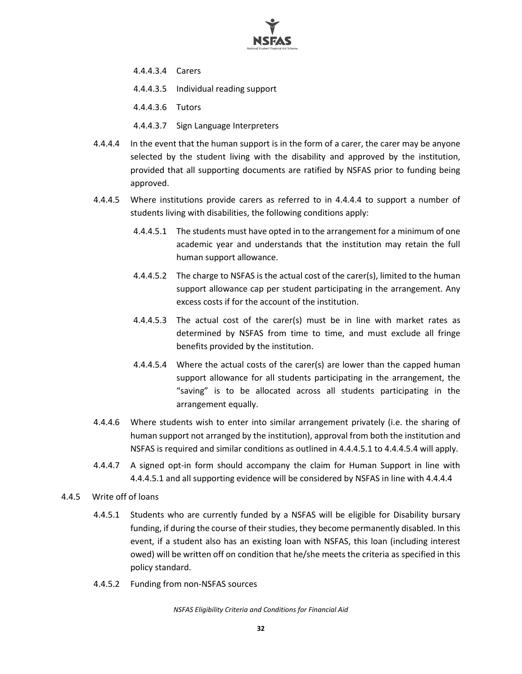

- 4.4.4.3.4 Carers
- 4.4.4.3.5 Individual reading support
- 4.4.4.3.6 Tutors
- 4.4.4.3.7 Sign Language Interpreters
- 4.4.4.4 In the event that the human support is in the form of a carer, the carer may be anyone selected by the student living with the disability and approved by the institution, provided that all supporting documents are ratified by NSFAS prior to funding being approved.
- 4.4.4.5 Where institutions provide carers as referred to in 4.4.4.4 to support a number of students living with disabilities, the following conditions apply:
	- 4.4.4.5.1 The students must have opted in to the arrangement for a minimum of one academic year and understands that the institution may retain the full human support allowance.
	- 4.4.4.5.2 The charge to NSFAS is the actual cost of the carer(s), limited to the human support allowance cap per student participating in the arrangement. Any excess costs if for the account of the institution.
	- 4.4.4.5.3 The actual cost of the carer(s) must be in line with market rates as determined by NSFAS from time to time, and must exclude all fringe benefits provided by the institution.
	- 4.4.4.5.4 Where the actual costs of the carer(s) are lower than the capped human support allowance for all students participating in the arrangement, the "saving" is to be allocated across all students participating in the arrangement equally.
- 4.4.4.6 Where students wish to enter into similar arrangement privately (i.e. the sharing of human support not arranged by the institution), approval from both the institution and NSFAS is required and similar conditions as outlined in 4.4.4.5.1 to 4.4.4.5.4 will apply.
- 4.4.4.7 A signed opt-in form should accompany the claim for Human Support in line with 4.4.4.5.1 and all supporting evidence will be considered by NSFAS in line with 4.4.4.4
- 4.4.5 Write off of loans
	- 4.4.5.1 Students who are currently funded by a NSFAS will be eligible for Disability bursary funding, if during the course of their studies, they become permanently disabled. In this event, if a student also has an existing loan with NSFAS, this loan (including interest owed) will be written off on condition that he/she meets the criteria as specified in this policy standard.
	- 4.4.5.2 Funding from non-NSFAS sources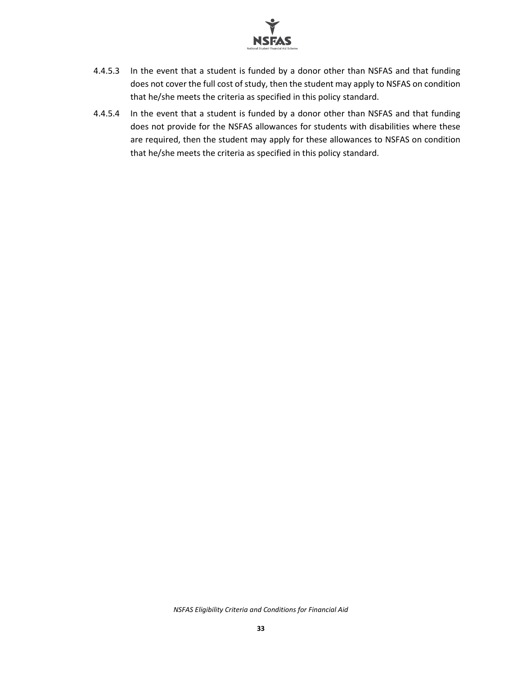

- 4.4.5.3 In the event that a student is funded by a donor other than NSFAS and that funding does not cover the full cost of study, then the student may apply to NSFAS on condition that he/she meets the criteria as specified in this policy standard.
- 4.4.5.4 In the event that a student is funded by a donor other than NSFAS and that funding does not provide for the NSFAS allowances for students with disabilities where these are required, then the student may apply for these allowances to NSFAS on condition that he/she meets the criteria as specified in this policy standard.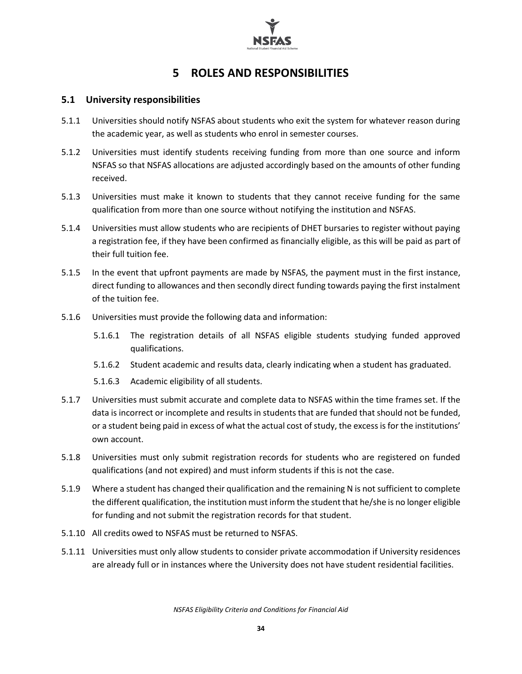

# **5 ROLES AND RESPONSIBILITIES**

#### <span id="page-34-1"></span><span id="page-34-0"></span>**5.1 University responsibilities**

- 5.1.1 Universities should notify NSFAS about students who exit the system for whatever reason during the academic year, as well as students who enrol in semester courses.
- 5.1.2 Universities must identify students receiving funding from more than one source and inform NSFAS so that NSFAS allocations are adjusted accordingly based on the amounts of other funding received.
- 5.1.3 Universities must make it known to students that they cannot receive funding for the same qualification from more than one source without notifying the institution and NSFAS.
- 5.1.4 Universities must allow students who are recipients of DHET bursaries to register without paying a registration fee, if they have been confirmed as financially eligible, as this will be paid as part of their full tuition fee.
- 5.1.5 In the event that upfront payments are made by NSFAS, the payment must in the first instance, direct funding to allowances and then secondly direct funding towards paying the first instalment of the tuition fee.
- 5.1.6 Universities must provide the following data and information:
	- 5.1.6.1 The registration details of all NSFAS eligible students studying funded approved qualifications.
	- 5.1.6.2 Student academic and results data, clearly indicating when a student has graduated.
	- 5.1.6.3 Academic eligibility of all students.
- 5.1.7 Universities must submit accurate and complete data to NSFAS within the time frames set. If the data is incorrect or incomplete and results in students that are funded that should not be funded, or a student being paid in excess of what the actual cost of study, the excess is for the institutions' own account.
- 5.1.8 Universities must only submit registration records for students who are registered on funded qualifications (and not expired) and must inform students if this is not the case.
- 5.1.9 Where a student has changed their qualification and the remaining N is not sufficient to complete the different qualification, the institution must inform the student that he/she is no longer eligible for funding and not submit the registration records for that student.
- 5.1.10 All credits owed to NSFAS must be returned to NSFAS.
- 5.1.11 Universities must only allow students to consider private accommodation if University residences are already full or in instances where the University does not have student residential facilities.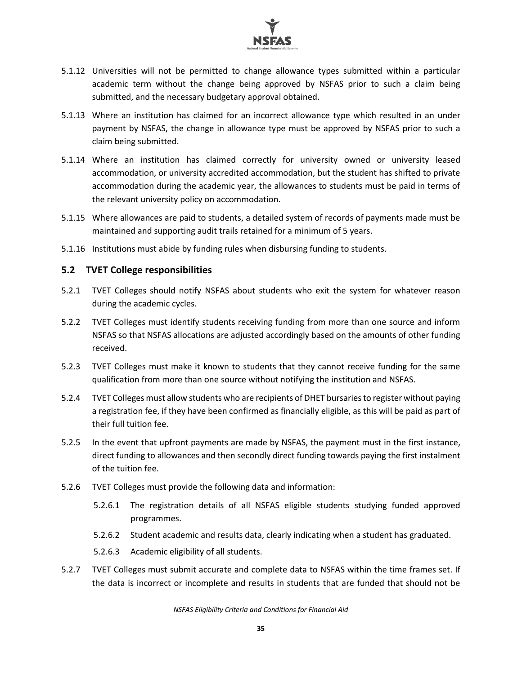

- 5.1.12 Universities will not be permitted to change allowance types submitted within a particular academic term without the change being approved by NSFAS prior to such a claim being submitted, and the necessary budgetary approval obtained.
- 5.1.13 Where an institution has claimed for an incorrect allowance type which resulted in an under payment by NSFAS, the change in allowance type must be approved by NSFAS prior to such a claim being submitted.
- 5.1.14 Where an institution has claimed correctly for university owned or university leased accommodation, or university accredited accommodation, but the student has shifted to private accommodation during the academic year, the allowances to students must be paid in terms of the relevant university policy on accommodation.
- 5.1.15 Where allowances are paid to students, a detailed system of records of payments made must be maintained and supporting audit trails retained for a minimum of 5 years.
- 5.1.16 Institutions must abide by funding rules when disbursing funding to students.

#### <span id="page-35-0"></span>**5.2 TVET College responsibilities**

- 5.2.1 TVET Colleges should notify NSFAS about students who exit the system for whatever reason during the academic cycles.
- 5.2.2 TVET Colleges must identify students receiving funding from more than one source and inform NSFAS so that NSFAS allocations are adjusted accordingly based on the amounts of other funding received.
- 5.2.3 TVET Colleges must make it known to students that they cannot receive funding for the same qualification from more than one source without notifying the institution and NSFAS.
- 5.2.4 TVET Colleges must allow students who are recipients of DHET bursaries to register without paying a registration fee, if they have been confirmed as financially eligible, as this will be paid as part of their full tuition fee.
- 5.2.5 In the event that upfront payments are made by NSFAS, the payment must in the first instance, direct funding to allowances and then secondly direct funding towards paying the first instalment of the tuition fee.
- 5.2.6 TVET Colleges must provide the following data and information:
	- 5.2.6.1 The registration details of all NSFAS eligible students studying funded approved programmes.
	- 5.2.6.2 Student academic and results data, clearly indicating when a student has graduated.
	- 5.2.6.3 Academic eligibility of all students.
- 5.2.7 TVET Colleges must submit accurate and complete data to NSFAS within the time frames set. If the data is incorrect or incomplete and results in students that are funded that should not be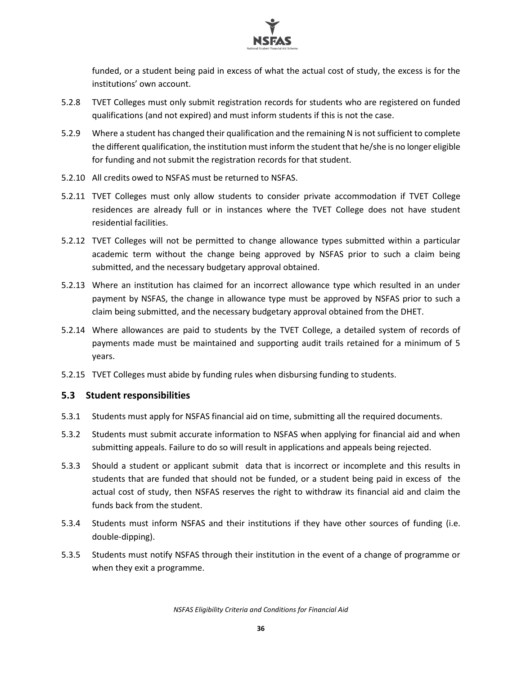

funded, or a student being paid in excess of what the actual cost of study, the excess is for the institutions' own account.

- 5.2.8 TVET Colleges must only submit registration records for students who are registered on funded qualifications (and not expired) and must inform students if this is not the case.
- 5.2.9 Where a student has changed their qualification and the remaining N is not sufficient to complete the different qualification, the institution must inform the student that he/she is no longer eligible for funding and not submit the registration records for that student.
- 5.2.10 All credits owed to NSFAS must be returned to NSFAS.
- 5.2.11 TVET Colleges must only allow students to consider private accommodation if TVET College residences are already full or in instances where the TVET College does not have student residential facilities.
- 5.2.12 TVET Colleges will not be permitted to change allowance types submitted within a particular academic term without the change being approved by NSFAS prior to such a claim being submitted, and the necessary budgetary approval obtained.
- 5.2.13 Where an institution has claimed for an incorrect allowance type which resulted in an under payment by NSFAS, the change in allowance type must be approved by NSFAS prior to such a claim being submitted, and the necessary budgetary approval obtained from the DHET.
- 5.2.14 Where allowances are paid to students by the TVET College, a detailed system of records of payments made must be maintained and supporting audit trails retained for a minimum of 5 years.
- 5.2.15 TVET Colleges must abide by funding rules when disbursing funding to students.

#### <span id="page-36-0"></span>**5.3 Student responsibilities**

- 5.3.1 Students must apply for NSFAS financial aid on time, submitting all the required documents.
- 5.3.2 Students must submit accurate information to NSFAS when applying for financial aid and when submitting appeals. Failure to do so will result in applications and appeals being rejected.
- 5.3.3 Should a student or applicant submit data that is incorrect or incomplete and this results in students that are funded that should not be funded, or a student being paid in excess of the actual cost of study, then NSFAS reserves the right to withdraw its financial aid and claim the funds back from the student.
- 5.3.4 Students must inform NSFAS and their institutions if they have other sources of funding (i.e. double-dipping).
- 5.3.5 Students must notify NSFAS through their institution in the event of a change of programme or when they exit a programme.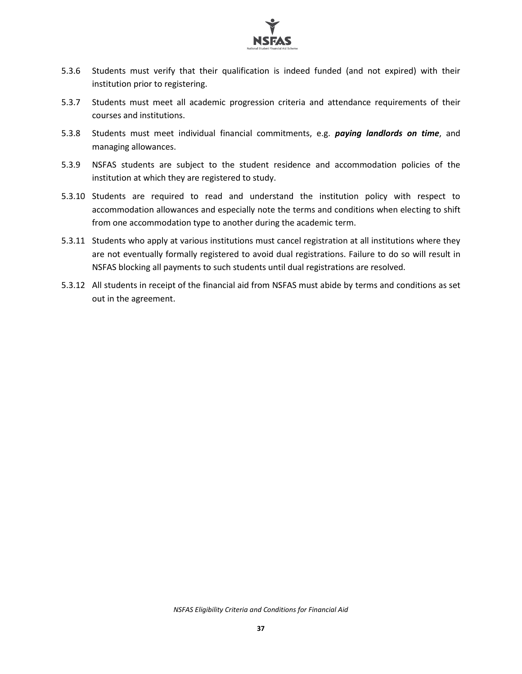

- 5.3.6 Students must verify that their qualification is indeed funded (and not expired) with their institution prior to registering.
- 5.3.7 Students must meet all academic progression criteria and attendance requirements of their courses and institutions.
- 5.3.8 Students must meet individual financial commitments, e.g. *paying landlords on time*, and managing allowances.
- 5.3.9 NSFAS students are subject to the student residence and accommodation policies of the institution at which they are registered to study.
- 5.3.10 Students are required to read and understand the institution policy with respect to accommodation allowances and especially note the terms and conditions when electing to shift from one accommodation type to another during the academic term.
- 5.3.11 Students who apply at various institutions must cancel registration at all institutions where they are not eventually formally registered to avoid dual registrations. Failure to do so will result in NSFAS blocking all payments to such students until dual registrations are resolved.
- 5.3.12 All students in receipt of the financial aid from NSFAS must abide by terms and conditions as set out in the agreement.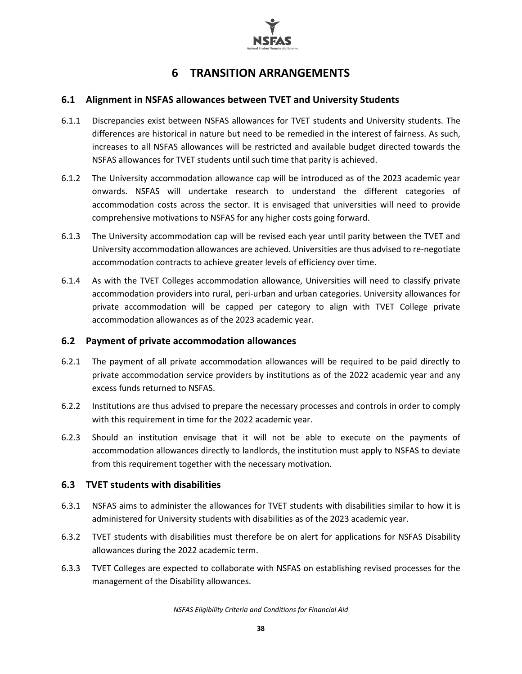

# **6 TRANSITION ARRANGEMENTS**

#### <span id="page-38-1"></span><span id="page-38-0"></span>**6.1 Alignment in NSFAS allowances between TVET and University Students**

- 6.1.1 Discrepancies exist between NSFAS allowances for TVET students and University students. The differences are historical in nature but need to be remedied in the interest of fairness. As such, increases to all NSFAS allowances will be restricted and available budget directed towards the NSFAS allowances for TVET students until such time that parity is achieved.
- 6.1.2 The University accommodation allowance cap will be introduced as of the 2023 academic year onwards. NSFAS will undertake research to understand the different categories of accommodation costs across the sector. It is envisaged that universities will need to provide comprehensive motivations to NSFAS for any higher costs going forward.
- 6.1.3 The University accommodation cap will be revised each year until parity between the TVET and University accommodation allowances are achieved. Universities are thus advised to re-negotiate accommodation contracts to achieve greater levels of efficiency over time.
- 6.1.4 As with the TVET Colleges accommodation allowance, Universities will need to classify private accommodation providers into rural, peri-urban and urban categories. University allowances for private accommodation will be capped per category to align with TVET College private accommodation allowances as of the 2023 academic year.

#### <span id="page-38-2"></span>**6.2 Payment of private accommodation allowances**

- 6.2.1 The payment of all private accommodation allowances will be required to be paid directly to private accommodation service providers by institutions as of the 2022 academic year and any excess funds returned to NSFAS.
- 6.2.2 Institutions are thus advised to prepare the necessary processes and controls in order to comply with this requirement in time for the 2022 academic year.
- 6.2.3 Should an institution envisage that it will not be able to execute on the payments of accommodation allowances directly to landlords, the institution must apply to NSFAS to deviate from this requirement together with the necessary motivation.

#### <span id="page-38-3"></span>**6.3 TVET students with disabilities**

- 6.3.1 NSFAS aims to administer the allowances for TVET students with disabilities similar to how it is administered for University students with disabilities as of the 2023 academic year.
- 6.3.2 TVET students with disabilities must therefore be on alert for applications for NSFAS Disability allowances during the 2022 academic term.
- 6.3.3 TVET Colleges are expected to collaborate with NSFAS on establishing revised processes for the management of the Disability allowances.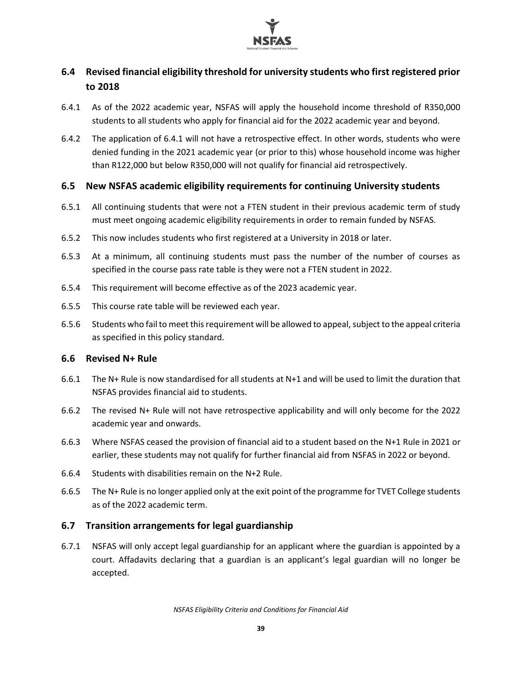

### <span id="page-39-0"></span>**6.4 Revised financial eligibility threshold for university students who first registered prior to 2018**

- 6.4.1 As of the 2022 academic year, NSFAS will apply the household income threshold of R350,000 students to all students who apply for financial aid for the 2022 academic year and beyond.
- 6.4.2 The application of 6.4.1 will not have a retrospective effect. In other words, students who were denied funding in the 2021 academic year (or prior to this) whose household income was higher than R122,000 but below R350,000 will not qualify for financial aid retrospectively.

#### <span id="page-39-1"></span>**6.5 New NSFAS academic eligibility requirements for continuing University students**

- 6.5.1 All continuing students that were not a FTEN student in their previous academic term of study must meet ongoing academic eligibility requirements in order to remain funded by NSFAS.
- 6.5.2 This now includes students who first registered at a University in 2018 or later.
- 6.5.3 At a minimum, all continuing students must pass the number of the number of courses as specified in the course pass rate table is they were not a FTEN student in 2022.
- 6.5.4 This requirement will become effective as of the 2023 academic year.
- 6.5.5 This course rate table will be reviewed each year.
- 6.5.6 Students who fail to meet this requirement will be allowed to appeal, subject to the appeal criteria as specified in this policy standard.

#### <span id="page-39-2"></span>**6.6 Revised N+ Rule**

- 6.6.1 The N+ Rule is now standardised for all students at N+1 and will be used to limit the duration that NSFAS provides financial aid to students.
- 6.6.2 The revised N+ Rule will not have retrospective applicability and will only become for the 2022 academic year and onwards.
- 6.6.3 Where NSFAS ceased the provision of financial aid to a student based on the N+1 Rule in 2021 or earlier, these students may not qualify for further financial aid from NSFAS in 2022 or beyond.
- 6.6.4 Students with disabilities remain on the N+2 Rule.
- 6.6.5 The N+ Rule is no longer applied only at the exit point of the programme for TVET College students as of the 2022 academic term.

#### <span id="page-39-3"></span>**6.7 Transition arrangements for legal guardianship**

6.7.1 NSFAS will only accept legal guardianship for an applicant where the guardian is appointed by a court. Affadavits declaring that a guardian is an applicant's legal guardian will no longer be accepted.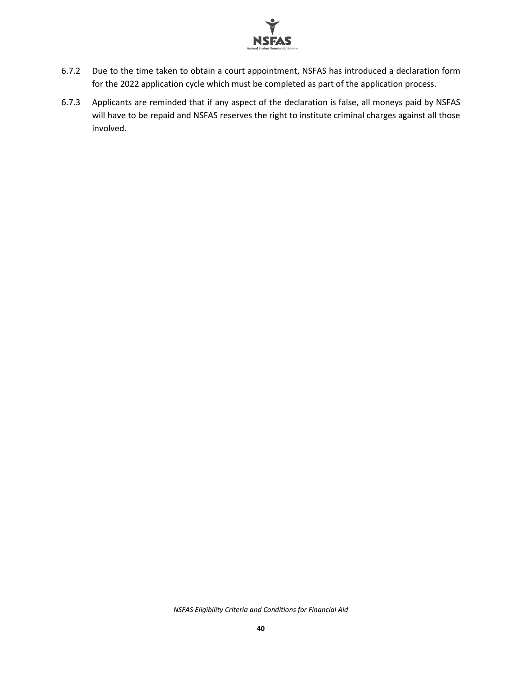

- 6.7.2 Due to the time taken to obtain a court appointment, NSFAS has introduced a declaration form for the 2022 application cycle which must be completed as part of the application process.
- 6.7.3 Applicants are reminded that if any aspect of the declaration is false, all moneys paid by NSFAS will have to be repaid and NSFAS reserves the right to institute criminal charges against all those involved.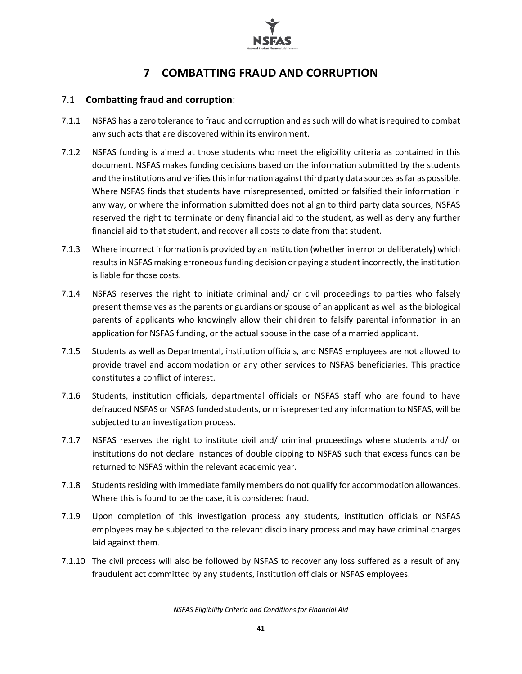

# **7 COMBATTING FRAUD AND CORRUPTION**

#### <span id="page-41-1"></span><span id="page-41-0"></span>7.1 **Combatting fraud and corruption**:

- 7.1.1 NSFAS has a zero tolerance to fraud and corruption and as such will do what is required to combat any such acts that are discovered within its environment.
- 7.1.2 NSFAS funding is aimed at those students who meet the eligibility criteria as contained in this document. NSFAS makes funding decisions based on the information submitted by the students and the institutions and verifies this information against third party data sources as far as possible. Where NSFAS finds that students have misrepresented, omitted or falsified their information in any way, or where the information submitted does not align to third party data sources, NSFAS reserved the right to terminate or deny financial aid to the student, as well as deny any further financial aid to that student, and recover all costs to date from that student.
- 7.1.3 Where incorrect information is provided by an institution (whether in error or deliberately) which results in NSFAS making erroneous funding decision or paying a student incorrectly, the institution is liable for those costs.
- 7.1.4 NSFAS reserves the right to initiate criminal and/ or civil proceedings to parties who falsely present themselves as the parents or guardians or spouse of an applicant as well as the biological parents of applicants who knowingly allow their children to falsify parental information in an application for NSFAS funding, or the actual spouse in the case of a married applicant.
- 7.1.5 Students as well as Departmental, institution officials, and NSFAS employees are not allowed to provide travel and accommodation or any other services to NSFAS beneficiaries. This practice constitutes a conflict of interest.
- 7.1.6 Students, institution officials, departmental officials or NSFAS staff who are found to have defrauded NSFAS or NSFAS funded students, or misrepresented any information to NSFAS, will be subjected to an investigation process.
- 7.1.7 NSFAS reserves the right to institute civil and/ criminal proceedings where students and/ or institutions do not declare instances of double dipping to NSFAS such that excess funds can be returned to NSFAS within the relevant academic year.
- 7.1.8 Students residing with immediate family members do not qualify for accommodation allowances. Where this is found to be the case, it is considered fraud.
- 7.1.9 Upon completion of this investigation process any students, institution officials or NSFAS employees may be subjected to the relevant disciplinary process and may have criminal charges laid against them.
- 7.1.10 The civil process will also be followed by NSFAS to recover any loss suffered as a result of any fraudulent act committed by any students, institution officials or NSFAS employees.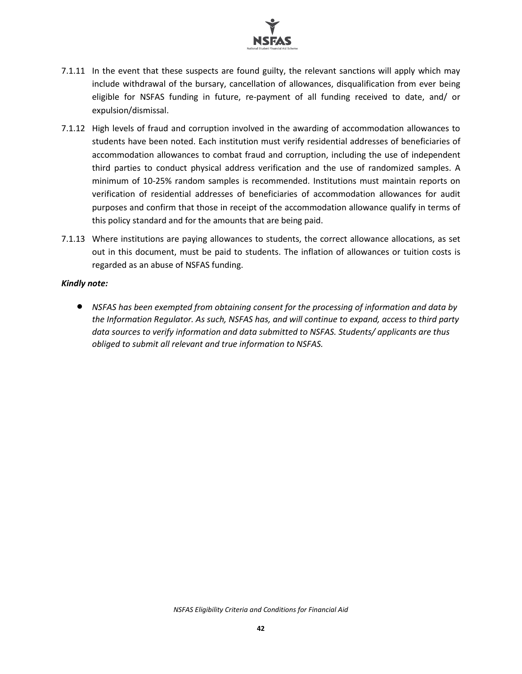

- 7.1.11 In the event that these suspects are found guilty, the relevant sanctions will apply which may include withdrawal of the bursary, cancellation of allowances, disqualification from ever being eligible for NSFAS funding in future, re-payment of all funding received to date, and/ or expulsion/dismissal.
- 7.1.12 High levels of fraud and corruption involved in the awarding of accommodation allowances to students have been noted. Each institution must verify residential addresses of beneficiaries of accommodation allowances to combat fraud and corruption, including the use of independent third parties to conduct physical address verification and the use of randomized samples. A minimum of 10-25% random samples is recommended. Institutions must maintain reports on verification of residential addresses of beneficiaries of accommodation allowances for audit purposes and confirm that those in receipt of the accommodation allowance qualify in terms of this policy standard and for the amounts that are being paid.
- 7.1.13 Where institutions are paying allowances to students, the correct allowance allocations, as set out in this document, must be paid to students. The inflation of allowances or tuition costs is regarded as an abuse of NSFAS funding.

#### *Kindly note:*

• *NSFAS has been exempted from obtaining consent for the processing of information and data by the Information Regulator. As such, NSFAS has, and will continue to expand, access to third party data sources to verify information and data submitted to NSFAS. Students/ applicants are thus obliged to submit all relevant and true information to NSFAS.*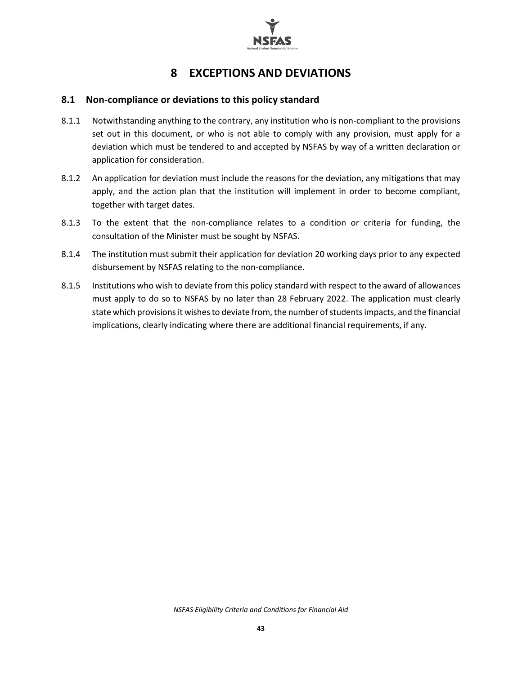

# **8 EXCEPTIONS AND DEVIATIONS**

#### <span id="page-43-1"></span><span id="page-43-0"></span>**8.1 Non-compliance or deviations to this policy standard**

- 8.1.1 Notwithstanding anything to the contrary, any institution who is non-compliant to the provisions set out in this document, or who is not able to comply with any provision, must apply for a deviation which must be tendered to and accepted by NSFAS by way of a written declaration or application for consideration.
- 8.1.2 An application for deviation must include the reasons for the deviation, any mitigations that may apply, and the action plan that the institution will implement in order to become compliant, together with target dates.
- 8.1.3 To the extent that the non-compliance relates to a condition or criteria for funding, the consultation of the Minister must be sought by NSFAS.
- 8.1.4 The institution must submit their application for deviation 20 working days prior to any expected disbursement by NSFAS relating to the non-compliance.
- 8.1.5 Institutions who wish to deviate from this policy standard with respect to the award of allowances must apply to do so to NSFAS by no later than 28 February 2022. The application must clearly state which provisions it wishes to deviate from, the number of students impacts, and the financial implications, clearly indicating where there are additional financial requirements, if any.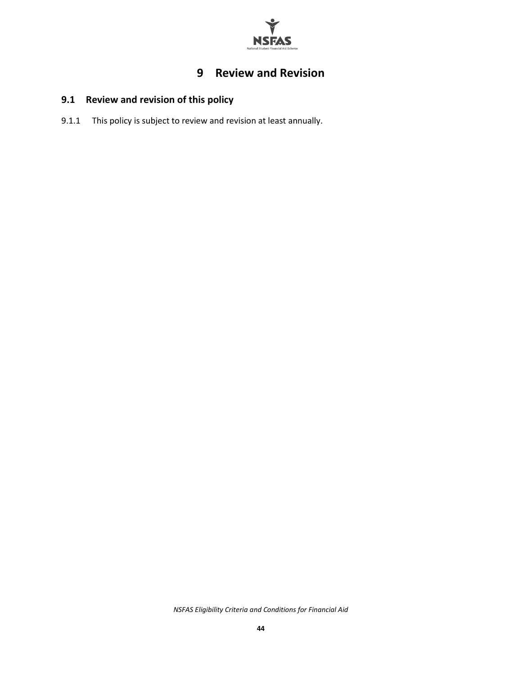

# **9 Review and Revision**

# <span id="page-44-1"></span><span id="page-44-0"></span>**9.1 Review and revision of this policy**

9.1.1 This policy is subject to review and revision at least annually.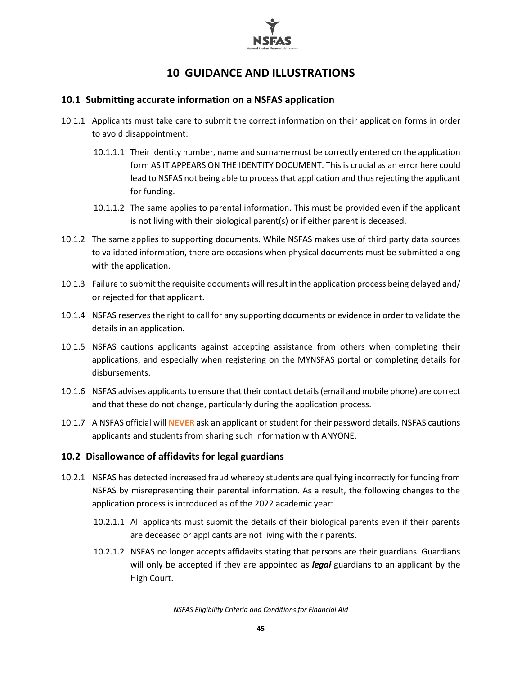

## **10 GUIDANCE AND ILLUSTRATIONS**

#### <span id="page-45-1"></span><span id="page-45-0"></span>**10.1 Submitting accurate information on a NSFAS application**

- 10.1.1 Applicants must take care to submit the correct information on their application forms in order to avoid disappointment:
	- 10.1.1.1 Their identity number, name and surname must be correctly entered on the application form AS IT APPEARS ON THE IDENTITY DOCUMENT. This is crucial as an error here could lead to NSFAS not being able to process that application and thus rejecting the applicant for funding.
	- 10.1.1.2 The same applies to parental information. This must be provided even if the applicant is not living with their biological parent(s) or if either parent is deceased.
- 10.1.2 The same applies to supporting documents. While NSFAS makes use of third party data sources to validated information, there are occasions when physical documents must be submitted along with the application.
- 10.1.3 Failure to submit the requisite documents will result in the application process being delayed and/ or rejected for that applicant.
- 10.1.4 NSFAS reserves the right to call for any supporting documents or evidence in order to validate the details in an application.
- 10.1.5 NSFAS cautions applicants against accepting assistance from others when completing their applications, and especially when registering on the MYNSFAS portal or completing details for disbursements.
- 10.1.6 NSFAS advises applicants to ensure that their contact details (email and mobile phone) are correct and that these do not change, particularly during the application process.
- 10.1.7 A NSFAS official will **NEVER** ask an applicant or student for their password details. NSFAS cautions applicants and students from sharing such information with ANYONE.

#### <span id="page-45-2"></span>**10.2 Disallowance of affidavits for legal guardians**

- 10.2.1 NSFAS has detected increased fraud whereby students are qualifying incorrectly for funding from NSFAS by misrepresenting their parental information. As a result, the following changes to the application process is introduced as of the 2022 academic year:
	- 10.2.1.1 All applicants must submit the details of their biological parents even if their parents are deceased or applicants are not living with their parents.
	- 10.2.1.2 NSFAS no longer accepts affidavits stating that persons are their guardians. Guardians will only be accepted if they are appointed as *legal* guardians to an applicant by the High Court.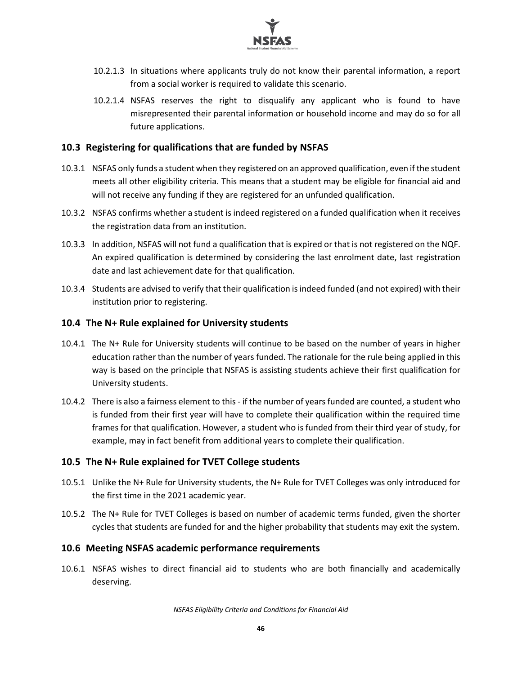

- 10.2.1.3 In situations where applicants truly do not know their parental information, a report from a social worker is required to validate this scenario.
- 10.2.1.4 NSFAS reserves the right to disqualify any applicant who is found to have misrepresented their parental information or household income and may do so for all future applications.

#### <span id="page-46-0"></span>**10.3 Registering for qualifications that are funded by NSFAS**

- 10.3.1 NSFAS only funds a student when they registered on an approved qualification, even if the student meets all other eligibility criteria. This means that a student may be eligible for financial aid and will not receive any funding if they are registered for an unfunded qualification.
- 10.3.2 NSFAS confirms whether a student is indeed registered on a funded qualification when it receives the registration data from an institution.
- 10.3.3 In addition, NSFAS will not fund a qualification that is expired or that is not registered on the NQF. An expired qualification is determined by considering the last enrolment date, last registration date and last achievement date for that qualification.
- 10.3.4 Students are advised to verify that their qualification is indeed funded (and not expired) with their institution prior to registering.

#### <span id="page-46-1"></span>**10.4 The N+ Rule explained for University students**

- 10.4.1 The N+ Rule for University students will continue to be based on the number of years in higher education rather than the number of years funded. The rationale for the rule being applied in this way is based on the principle that NSFAS is assisting students achieve their first qualification for University students.
- 10.4.2 There is also a fairness element to this- if the number of years funded are counted, a student who is funded from their first year will have to complete their qualification within the required time frames for that qualification. However, a student who is funded from their third year of study, for example, may in fact benefit from additional years to complete their qualification.

#### <span id="page-46-2"></span>**10.5 The N+ Rule explained for TVET College students**

- 10.5.1 Unlike the N+ Rule for University students, the N+ Rule for TVET Colleges was only introduced for the first time in the 2021 academic year.
- 10.5.2 The N+ Rule for TVET Colleges is based on number of academic terms funded, given the shorter cycles that students are funded for and the higher probability that students may exit the system.

#### <span id="page-46-3"></span>**10.6 Meeting NSFAS academic performance requirements**

10.6.1 NSFAS wishes to direct financial aid to students who are both financially and academically deserving.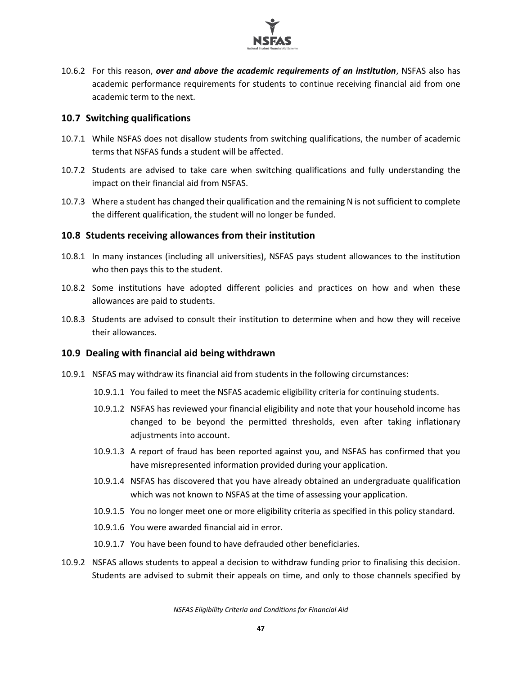

10.6.2 For this reason, *over and above the academic requirements of an institution*, NSFAS also has academic performance requirements for students to continue receiving financial aid from one academic term to the next.

#### <span id="page-47-0"></span>**10.7 Switching qualifications**

- 10.7.1 While NSFAS does not disallow students from switching qualifications, the number of academic terms that NSFAS funds a student will be affected.
- 10.7.2 Students are advised to take care when switching qualifications and fully understanding the impact on their financial aid from NSFAS.
- 10.7.3 Where a student has changed their qualification and the remaining N is not sufficient to complete the different qualification, the student will no longer be funded.

#### <span id="page-47-1"></span>**10.8 Students receiving allowances from their institution**

- 10.8.1 In many instances (including all universities), NSFAS pays student allowances to the institution who then pays this to the student.
- 10.8.2 Some institutions have adopted different policies and practices on how and when these allowances are paid to students.
- 10.8.3 Students are advised to consult their institution to determine when and how they will receive their allowances.

#### <span id="page-47-2"></span>**10.9 Dealing with financial aid being withdrawn**

- 10.9.1 NSFAS may withdraw its financial aid from students in the following circumstances:
	- 10.9.1.1 You failed to meet the NSFAS academic eligibility criteria for continuing students.
	- 10.9.1.2 NSFAS has reviewed your financial eligibility and note that your household income has changed to be beyond the permitted thresholds, even after taking inflationary adjustments into account.
	- 10.9.1.3 A report of fraud has been reported against you, and NSFAS has confirmed that you have misrepresented information provided during your application.
	- 10.9.1.4 NSFAS has discovered that you have already obtained an undergraduate qualification which was not known to NSFAS at the time of assessing your application.
	- 10.9.1.5 You no longer meet one or more eligibility criteria as specified in this policy standard.
	- 10.9.1.6 You were awarded financial aid in error.
	- 10.9.1.7 You have been found to have defrauded other beneficiaries.
- 10.9.2 NSFAS allows students to appeal a decision to withdraw funding prior to finalising this decision. Students are advised to submit their appeals on time, and only to those channels specified by